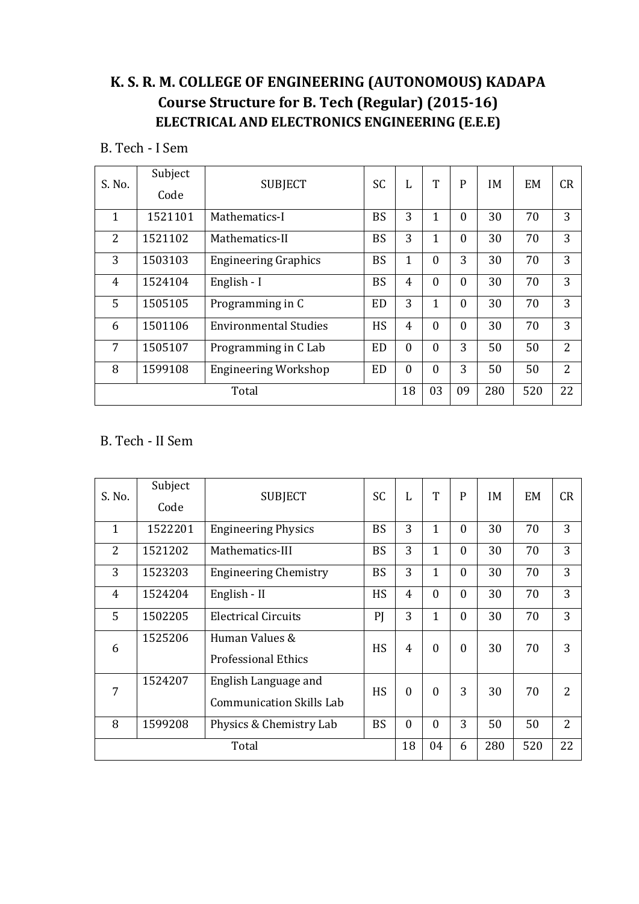# **K. S. R. M. COLLEGE OF ENGINEERING (AUTONOMOUS) KADAPA Course Structure for B. Tech (Regular) (2015-16) ELECTRICAL AND ELECTRONICS ENGINEERING (E.E.E)**

B. Tech - I Sem

| S. No.         | Subject<br>Code | <b>SUBJECT</b>              | SC        | L              | T              | P        | IM  | EM  | CR             |
|----------------|-----------------|-----------------------------|-----------|----------------|----------------|----------|-----|-----|----------------|
| 1              | 1521101         | Mathematics-I               | <b>BS</b> | 3              | 1              | $\Omega$ | 30  | 70  | 3              |
| $\overline{2}$ | 1521102         | Mathematics-II              | <b>BS</b> | 3              | $\overline{1}$ | $\theta$ | 30  | 70  | 3              |
| 3              | 1503103         | <b>Engineering Graphics</b> | <b>BS</b> | $\mathbf{1}$   | $\mathbf{0}$   | 3        | 30  | 70  | 3              |
| 4              | 1524104         | English - I                 | <b>BS</b> | 4              | $\mathbf{0}$   | $\theta$ | 30  | 70  | 3              |
| 5              | 1505105         | Programming in C            | <b>ED</b> | 3              | $\overline{1}$ | $\Omega$ | 30  | 70  | 3              |
| 6              | 1501106         | Environmental Studies       | <b>HS</b> | $\overline{4}$ | $\mathbf{0}$   | $\Omega$ | 30  | 70  | 3              |
| 7              | 1505107         | Programming in C Lab        | <b>ED</b> | $\mathbf{0}$   | $\theta$       | 3        | 50  | 50  | $\overline{2}$ |
| 8              | 1599108         | <b>Engineering Workshop</b> | <b>ED</b> | $\mathbf{0}$   | $\mathbf{0}$   | 3        | 50  | 50  | $\overline{2}$ |
|                | Total           |                             |           | 18             | 03             | 09       | 280 | 520 | 22             |

## B. Tech - II Sem

| S. No.         | Subject | <b>SUBJECT</b>                  | <b>SC</b> | L              | T              | P            | IM  | EM  | CR                       |
|----------------|---------|---------------------------------|-----------|----------------|----------------|--------------|-----|-----|--------------------------|
|                | Code    |                                 |           |                |                |              |     |     |                          |
| $\mathbf{1}$   | 1522201 | <b>Engineering Physics</b>      | <b>BS</b> | 3              | $\mathbf 1$    | $\theta$     | 30  | 70  | 3                        |
| $\overline{2}$ | 1521202 | Mathematics-III                 | <b>BS</b> | 3              | 1              | $\theta$     | 30  | 70  | 3                        |
| 3              | 1523203 | <b>Engineering Chemistry</b>    | <b>BS</b> | 3              | $\overline{1}$ | $\mathbf{0}$ | 30  | 70  | 3                        |
| $\overline{4}$ | 1524204 | English - II                    | <b>HS</b> | $\overline{4}$ | $\theta$       | $\theta$     | 30  | 70  | 3                        |
| 5              | 1502205 | <b>Electrical Circuits</b>      | PI        | 3              | $\overline{1}$ | $\Omega$     | 30  | 70  | 3                        |
| 6              | 1525206 | Human Values &                  | HS        | $\overline{4}$ | $\mathbf{0}$   | $\theta$     | 30  | 70  | 3                        |
|                |         | <b>Professional Ethics</b>      |           |                |                |              |     |     |                          |
| 7              | 1524207 | English Language and            | <b>HS</b> | $\overline{0}$ | $\mathbf{0}$   | 3            | 30  | 70  | $\overline{\mathcal{L}}$ |
|                |         | <b>Communication Skills Lab</b> |           |                |                |              |     |     |                          |
| 8              | 1599208 | Physics & Chemistry Lab         | <b>BS</b> | $\mathbf{0}$   | $\mathbf{0}$   | 3            | 50  | 50  | $\overline{2}$           |
|                | Total   |                                 |           |                | 04             | 6            | 280 | 520 | 22                       |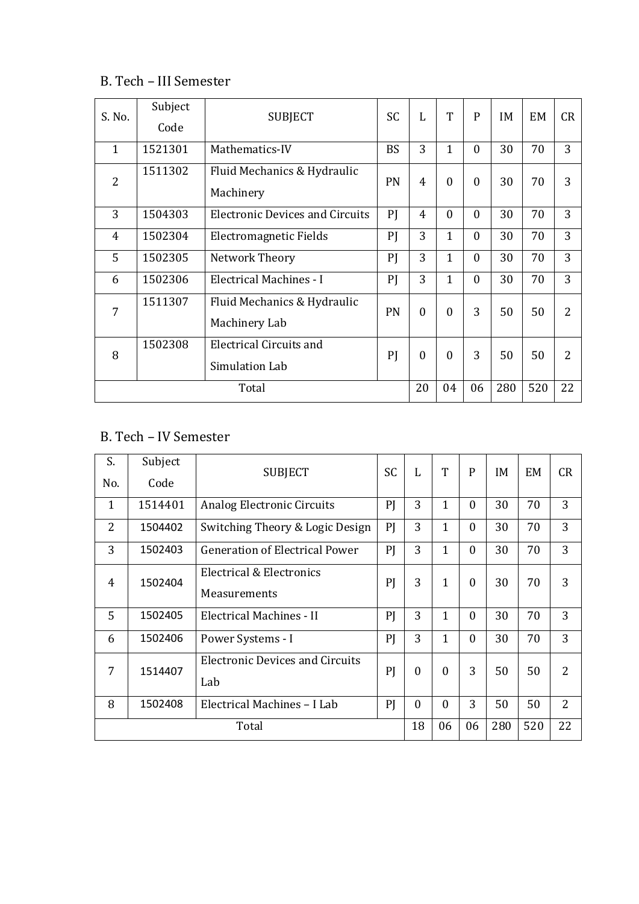## B. Tech – III Semester

| S. No.         | Subject<br>Code | <b>SUBJECT</b>                                   | <b>SC</b> | L            | T              | $\mathsf{P}$ | IM  | <b>EM</b> | CR             |
|----------------|-----------------|--------------------------------------------------|-----------|--------------|----------------|--------------|-----|-----------|----------------|
| $\mathbf{1}$   | 1521301         | Mathematics-IV                                   | <b>BS</b> | 3            | $\mathbf{1}$   | $\theta$     | 30  | 70        | 3              |
| $\overline{2}$ | 1511302         | Fluid Mechanics & Hydraulic<br>Machinery         | PN        | 4            | $\mathbf{0}$   | $\Omega$     | 30  | 70        | 3              |
| 3              | 1504303         | <b>Electronic Devices and Circuits</b>           | PI        | 4            | $\mathbf{0}$   | $\theta$     | 30  | 70        | 3              |
| $\overline{4}$ | 1502304         | Electromagnetic Fields                           | PJ        | 3            | $\mathbf{1}$   | $\theta$     | 30  | 70        | 3              |
| 5              | 1502305         | Network Theory                                   | PI        | 3            | $\mathbf{1}$   | $\theta$     | 30  | 70        | 3              |
| 6              | 1502306         | Electrical Machines - I                          | PI        | 3            | $\overline{1}$ | $\theta$     | 30  | 70        | 3              |
| 7              | 1511307         | Fluid Mechanics & Hydraulic<br>Machinery Lab     | PN        | $\mathbf{0}$ | $\mathbf{0}$   | 3            | 50  | 50        | $\overline{2}$ |
| 8              | 1502308         | <b>Electrical Circuits and</b><br>Simulation Lab | PI        | $\mathbf{0}$ | $\overline{0}$ | 3            | 50  | 50        | 2              |
|                |                 |                                                  | 20        | 04           | 06             | 280          | 520 | 22        |                |

# B. Tech – IV Semester

| S.             | Subject | <b>SUBJECT</b>                         | <b>SC</b> | L              | T            | P            | IM  | EM  | CR             |
|----------------|---------|----------------------------------------|-----------|----------------|--------------|--------------|-----|-----|----------------|
| No.            | Code    |                                        |           |                |              |              |     |     |                |
| $\mathbf{1}$   | 1514401 | Analog Electronic Circuits             | PI        | 3              | $\mathbf{1}$ | $\mathbf{0}$ | 30  | 70  | 3              |
| $\overline{2}$ | 1504402 | Switching Theory & Logic Design        | PI        | 3              | $\mathbf{1}$ | $\mathbf{0}$ | 30  | 70  | 3              |
| 3              | 1502403 | <b>Generation of Electrical Power</b>  | PI        | 3              | $\mathbf{1}$ | $\mathbf{0}$ | 30  | 70  | 3              |
| 4              | 1502404 | Electrical & Electronics               | PI        | 3              | $\mathbf{1}$ | $\mathbf{0}$ | 30  | 70  | 3              |
|                |         | Measurements                           |           |                |              |              |     |     |                |
| 5              | 1502405 | Electrical Machines - II               | PI        | 3              | $\mathbf{1}$ | $\theta$     | 30  | 70  | 3              |
| 6              | 1502406 | Power Systems - I                      | PI        | 3              | $\mathbf{1}$ | $\theta$     | 30  | 70  | 3              |
| 7              | 1514407 | <b>Electronic Devices and Circuits</b> | PI        | $\overline{0}$ | $\mathbf{0}$ | 3            | 50  | 50  | 2              |
|                |         | Lab                                    |           |                |              |              |     |     |                |
| 8              | 1502408 | Electrical Machines - I Lab            | PI        | $\mathbf{0}$   | $\mathbf{0}$ | 3            | 50  | 50  | $\overline{2}$ |
|                | Total   |                                        |           | 18             | 06           | 06           | 280 | 520 | 22             |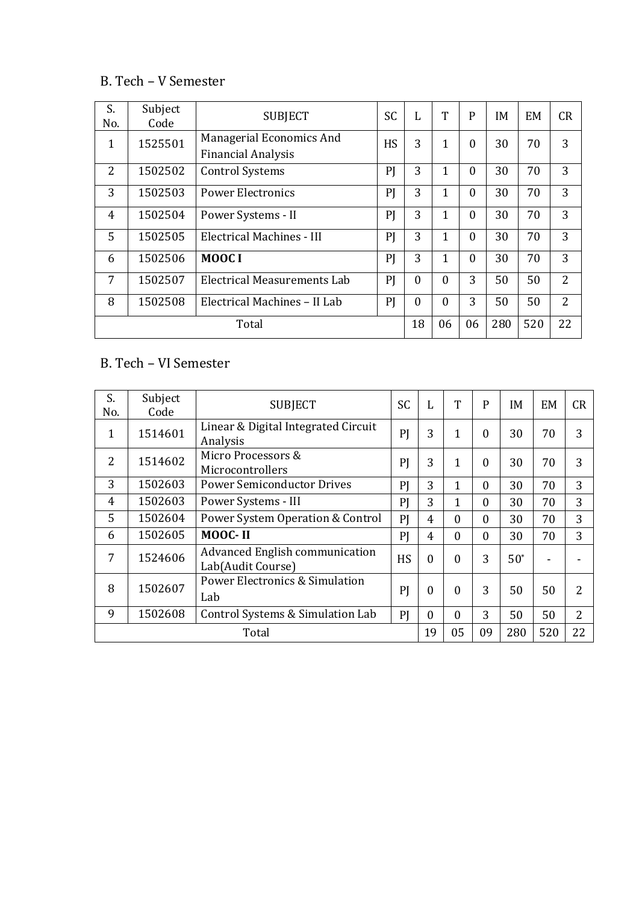## B. Tech – V Semester

| S.<br>No. | Subject<br>Code | <b>SUBJECT</b>                                        | <b>SC</b> | L                | T            | P            | ΙM  | <b>EM</b> | CR             |
|-----------|-----------------|-------------------------------------------------------|-----------|------------------|--------------|--------------|-----|-----------|----------------|
| 1         | 1525501         | Managerial Economics And<br><b>Financial Analysis</b> | <b>HS</b> | 3                | 1            | $\theta$     | 30  | 70        | 3              |
| 2         | 1502502         | <b>Control Systems</b>                                | PJ        | 3                | $\mathbf{1}$ | $\Omega$     | 30  | 70        | 3              |
| 3         | 1502503         | <b>Power Electronics</b>                              | PJ        | 3                | $\mathbf{1}$ | $\mathbf{0}$ | 30  | 70        | 3              |
| 4         | 1502504         | Power Systems - II                                    | PJ        | 3                | 1            | $\Omega$     | 30  | 70        | 3              |
| 5         | 1502505         | Electrical Machines - III                             | PJ        | 3                | 1            | $\Omega$     | 30  | 70        | 3              |
| 6         | 1502506         | MOOC I                                                | PJ        | 3                | 1            | $\theta$     | 30  | 70        | 3              |
| 7         | 1502507         | Electrical Measurements Lab                           | PI        | $\boldsymbol{0}$ | $\mathbf{0}$ | 3            | 50  | 50        | $\overline{2}$ |
| 8         | 1502508         | Electrical Machines - II Lab                          | PI        | $\overline{0}$   | $\theta$     | 3            | 50  | 50        | $\overline{2}$ |
|           | Total           |                                                       |           |                  | 06           | 06           | 280 | 520       | 22             |

# B. Tech – VI Semester

| S.<br>No.    | Subject<br>Code | <b>SUBJECT</b>                                      | <b>SC</b> | L              | T            | P        | IM     | EM  | CR             |
|--------------|-----------------|-----------------------------------------------------|-----------|----------------|--------------|----------|--------|-----|----------------|
| $\mathbf{1}$ | 1514601         | Linear & Digital Integrated Circuit<br>Analysis     | PI        | 3              | 1            | $\Omega$ | 30     | 70  | 3              |
| 2            | 1514602         | Micro Processors &<br>Microcontrollers              | PI        | 3              | 1            | 0        | 30     | 70  | 3              |
| 3            | 1502603         | <b>Power Semiconductor Drives</b>                   | PI        | 3              | $\mathbf{1}$ | $\Omega$ | 30     | 70  | 3              |
| 4            | 1502603         | Power Systems - III                                 | PI        | 3              | 1            | $\Omega$ | 30     | 70  | 3              |
| 5            | 1502604         | Power System Operation & Control                    | PI        | $\overline{4}$ | $\Omega$     | $\Omega$ | 30     | 70  | 3              |
| 6            | 1502605         | MOOC-II                                             | PI        | $\overline{4}$ | $\theta$     | $\Omega$ | 30     | 70  | 3              |
| 7            | 1524606         | Advanced English communication<br>Lab(Audit Course) | <b>HS</b> | $\theta$       | $\Omega$     | 3        | $50^*$ |     |                |
| 8            | 1502607         | <b>Power Electronics &amp; Simulation</b><br>Lab    | PI        | $\mathbf{0}$   | $\mathbf{0}$ | 3        | 50     | 50  | $\overline{2}$ |
| 9            | 1502608         | Control Systems & Simulation Lab                    | PI        | $\Omega$       | $\Omega$     | 3        | 50     | 50  | $\overline{2}$ |
|              | Total           |                                                     |           |                | 05           | 09       | 280    | 520 | 22             |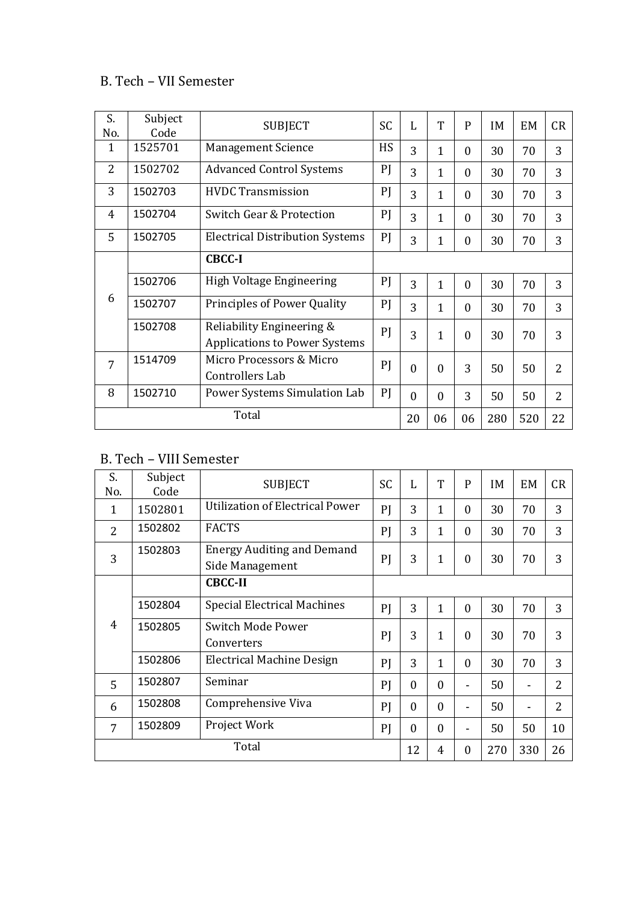## B. Tech – VII Semester

| S.<br>No.      | Subject<br>Code | <b>SUBJECT</b>                                                    | <b>SC</b> | L        | T            | $\mathbf{P}$   | IM  | <b>EM</b> | CR             |
|----------------|-----------------|-------------------------------------------------------------------|-----------|----------|--------------|----------------|-----|-----------|----------------|
| 1              | 1525701         | <b>Management Science</b>                                         | <b>HS</b> | 3        | $\mathbf{1}$ | $\mathbf{0}$   | 30  | 70        | 3              |
| $\overline{2}$ | 1502702         | <b>Advanced Control Systems</b>                                   | PI        | 3        | $\mathbf{1}$ | $\mathbf{0}$   | 30  | 70        | 3              |
| 3              | 1502703         | <b>HVDC Transmission</b>                                          | PI        | 3        | $\mathbf{1}$ | $\mathbf{0}$   | 30  | 70        | 3              |
| 4              | 1502704         | Switch Gear & Protection                                          | PI        | 3        | $\mathbf{1}$ | $\overline{0}$ | 30  | 70        | 3              |
| 5              | 1502705         | <b>Electrical Distribution Systems</b>                            | PI        | 3        | 1            | $\overline{0}$ | 30  | 70        | 3              |
|                |                 | <b>CBCC-I</b>                                                     |           |          |              |                |     |           |                |
|                | 1502706         | High Voltage Engineering                                          | PI        | 3        | $\mathbf{1}$ | $\mathbf{0}$   | 30  | 70        | 3              |
| 6              | 1502707         | Principles of Power Quality                                       | PI        | 3        | 1            | $\overline{0}$ | 30  | 70        | 3              |
|                | 1502708         | Reliability Engineering &<br><b>Applications to Power Systems</b> | PI        | 3        | $\mathbf{1}$ | $\theta$       | 30  | 70        | 3              |
| 7              | 1514709         | Micro Processors & Micro<br>Controllers Lab                       | PI        | $\theta$ | $\Omega$     | 3              | 50  | 50        | $\overline{2}$ |
| 8              | 1502710         | Power Systems Simulation Lab                                      | PI        | $\theta$ | $\theta$     | 3              | 50  | 50        | $\overline{2}$ |
|                | Total           |                                                                   |           | 20       | 06           | 06             | 280 | 520       | 22             |

# B. Tech – VIII Semester

| S.<br>No. | Subject<br>Code | <b>SUBJECT</b>                                       | <b>SC</b> | L        | T              | P              | IM  | <b>EM</b>      | CR             |
|-----------|-----------------|------------------------------------------------------|-----------|----------|----------------|----------------|-----|----------------|----------------|
| 1         | 1502801         | <b>Utilization of Electrical Power</b>               | PI        | 3        | 1              | $\overline{0}$ | 30  | 70             | 3              |
| 2         | 1502802         | <b>FACTS</b>                                         | PI        | 3        | 1              | $\theta$       | 30  | 70             | 3              |
| 3         | 1502803         | <b>Energy Auditing and Demand</b><br>Side Management | PI        | 3        | 1              | $\mathbf{0}$   | 30  | 70             | 3              |
|           |                 | <b>CBCC-II</b>                                       |           |          |                |                |     |                |                |
|           | 1502804         | <b>Special Electrical Machines</b>                   | PI        | 3        | 1              | $\mathbf{0}$   | 30  | 70             | 3              |
| 4         | 1502805         | <b>Switch Mode Power</b><br>Converters               | PI        | 3        | 1              | $\theta$       | 30  | 70             | 3              |
|           | 1502806         | Electrical Machine Design                            | PI        | 3        | $\overline{1}$ | $\overline{0}$ | 30  | 70             | 3              |
| 5         | 1502807         | Seminar                                              | PI        | $\Omega$ | $\Omega$       | ۰              | 50  | $\blacksquare$ | $\overline{2}$ |
| 6         | 1502808         | Comprehensive Viva                                   | PI        | $\theta$ | $\theta$       | ۰              | 50  |                | $\overline{2}$ |
| 7         | 1502809         | Project Work                                         | PI        | $\theta$ | $\mathbf{0}$   | ۰              | 50  | 50             | 10             |
|           | Total           |                                                      |           | 12       | 4              | $\mathbf{0}$   | 270 | 330            | 26             |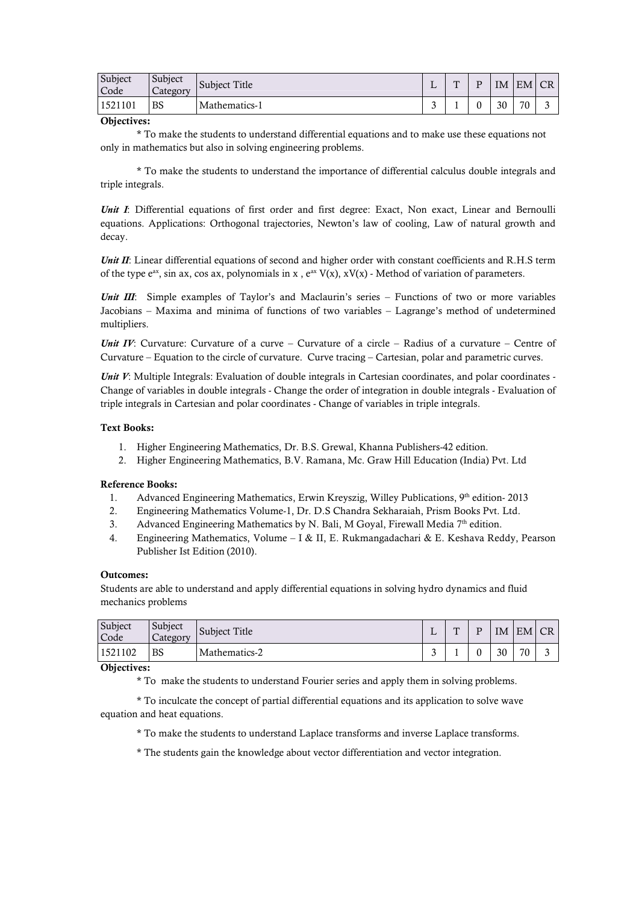| Subject<br>Code | Subject<br>Category | Subject Title | $\mathbf{r}$<br>∸ | $\mathbf{m}$ | IΜ | EM CR |   |
|-----------------|---------------------|---------------|-------------------|--------------|----|-------|---|
| 1521101         | <b>BS</b>           | Mathematics-1 | $\sqrt{2}$<br>ັ   |              | 30 | 70    | - |

#### **Objectives:**

\* To make the students to understand differential equations and to make use these equations not only in mathematics but also in solving engineering problems.

\* To make the students to understand the importance of differential calculus double integrals and triple integrals.

*Unit I*: Differential equations of first order and first degree: Exact, Non exact, Linear and Bernoulli equations. Applications: Orthogonal trajectories, Newton's law of cooling, Law of natural growth and decay.

*Unit II*: Linear differential equations of second and higher order with constant coefficients and R.H.S term of the type  $e^{ax}$ , sin ax, cos ax, polynomials in x,  $e^{ax} V(x)$ ,  $xV(x)$  - Method of variation of parameters.

*Unit III*: Simple examples of Taylor's and Maclaurin's series – Functions of two or more variables Jacobians – Maxima and minima of functions of two variables – Lagrange's method of undetermined multipliers.

*Unit IV*: Curvature: Curvature of a curve – Curvature of a circle – Radius of a curvature – Centre of Curvature – Equation to the circle of curvature. Curve tracing – Cartesian, polar and parametric curves.

*Unit V*: Multiple Integrals: Evaluation of double integrals in Cartesian coordinates, and polar coordinates -Change of variables in double integrals - Change the order of integration in double integrals - Evaluation of triple integrals in Cartesian and polar coordinates - Change of variables in triple integrals.

#### **Text Books:**

- 1. Higher Engineering Mathematics, Dr. B.S. Grewal, Khanna Publishers-42 edition.
- 2. Higher Engineering Mathematics, B.V. Ramana, Mc. Graw Hill Education (India) Pvt. Ltd

#### **Reference Books:**

- 1. Advanced Engineering Mathematics, Erwin Kreyszig, Willey Publications, 9th edition-2013
- 2. Engineering Mathematics Volume-1, Dr. D.S Chandra Sekharaiah, Prism Books Pvt. Ltd.
- 3. Advanced Engineering Mathematics by N. Bali, M Goyal, Firewall Media 7<sup>th</sup> edition.
- 4. Engineering Mathematics, Volume I & II, E. Rukmangadachari & E. Keshava Reddy, Pearson Publisher Ist Edition (2010).

#### **Outcomes:**

Students are able to understand and apply differential equations in solving hydro dynamics and fluid mechanics problems

| Subject<br>Code | Subject<br>Category | <b>Subject Title</b> |   | $\mathbf{m}$ | D | IΜ | EM | CR <sub>1</sub> |
|-----------------|---------------------|----------------------|---|--------------|---|----|----|-----------------|
| 1521102         | BS                  | Mathematics-2        | ັ |              |   | 30 | 70 | ∽<br>ັ          |

#### **Objectives:**

\* To make the students to understand Fourier series and apply them in solving problems.

\* To inculcate the concept of partial differential equations and its application to solve wave equation and heat equations.

- \* To make the students to understand Laplace transforms and inverse Laplace transforms.
- \* The students gain the knowledge about vector differentiation and vector integration.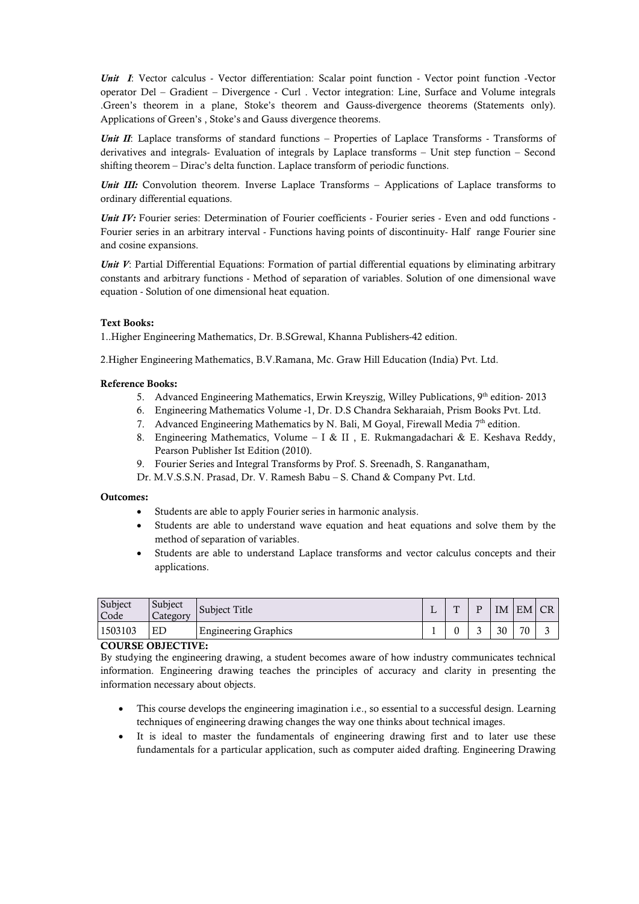*Unit I*: Vector calculus - Vector differentiation: Scalar point function - Vector point function -Vector operator Del – Gradient – Divergence - Curl . Vector integration: Line, Surface and Volume integrals .Green's theorem in a plane, Stoke's theorem and Gauss-divergence theorems (Statements only). Applications of Green's , Stoke's and Gauss divergence theorems.

*Unit II*: Laplace transforms of standard functions – Properties of Laplace Transforms - Transforms of derivatives and integrals- Evaluation of integrals by Laplace transforms – Unit step function – Second shifting theorem – Dirac's delta function. Laplace transform of periodic functions.

*Unit III:* Convolution theorem. Inverse Laplace Transforms – Applications of Laplace transforms to ordinary differential equations.

*Unit IV:* Fourier series: Determination of Fourier coefficients - Fourier series - Even and odd functions -Fourier series in an arbitrary interval - Functions having points of discontinuity- Half range Fourier sine and cosine expansions.

*Unit V*: Partial Differential Equations: Formation of partial differential equations by eliminating arbitrary constants and arbitrary functions - Method of separation of variables. Solution of one dimensional wave equation - Solution of one dimensional heat equation.

### **Text Books:**

1..Higher Engineering Mathematics, Dr. B.SGrewal, Khanna Publishers-42 edition.

2.Higher Engineering Mathematics, B.V.Ramana, Mc. Graw Hill Education (India) Pvt. Ltd.

### **Reference Books:**

- 5. Advanced Engineering Mathematics, Erwin Kreyszig, Willey Publications,  $9<sup>th</sup>$  edition- 2013
- 6. Engineering Mathematics Volume -1, Dr. D.S Chandra Sekharaiah, Prism Books Pvt. Ltd.
- 7. Advanced Engineering Mathematics by N. Bali, M Goyal, Firewall Media 7<sup>th</sup> edition.
- 8. Engineering Mathematics, Volume I & II, E. Rukmangadachari & E. Keshava Reddy, Pearson Publisher Ist Edition (2010).
- 9. Fourier Series and Integral Transforms by Prof. S. Sreenadh, S. Ranganatham,
- Dr. M.V.S.S.N. Prasad, Dr. V. Ramesh Babu S. Chand & Company Pvt. Ltd.

#### **Outcomes:**

- Students are able to apply Fourier series in harmonic analysis.
- Students are able to understand wave equation and heat equations and solve them by the method of separation of variables.
- Students are able to understand Laplace transforms and vector calculus concepts and their applications.

| Subject<br>Code | Subject<br>Category | Subject Title               | ш. | $\mathbf{m}$ |   | IΜ | EM CR |  |
|-----------------|---------------------|-----------------------------|----|--------------|---|----|-------|--|
| 1503103         | ΕD                  | <b>Engineering Graphics</b> |    |              | - | 30 | 70    |  |

#### **COURSE OBJECTIVE:**

By studying the engineering drawing, a student becomes aware of how industry communicates technical information. Engineering drawing teaches the principles of accuracy and clarity in presenting the information necessary about objects.

- This course develops the engineering imagination i.e., so essential to a successful design. Learning techniques of engineering drawing changes the way one thinks about technical images.
- It is ideal to master the fundamentals of engineering drawing first and to later use these fundamentals for a particular application, such as computer aided drafting. Engineering Drawing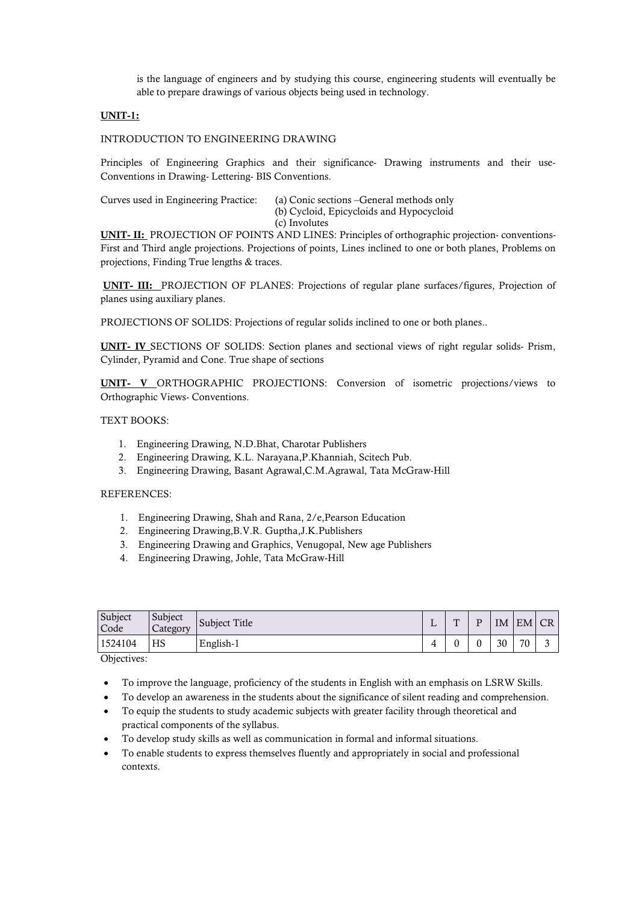is the language of engineers and by studying this course, engineering students will eventually be able to prepare drawings of various objects being used in technology.

### **UNIT-1:**

#### INTRODUCTION TO ENGINEERING DRAWING

Principles of Engineering Graphics and their significance- Drawing instruments and their use-Conventions in Drawing- Lettering- BIS Conventions.

| Curves used in Engineering Practice: | (a) Conic sections – General methods only |
|--------------------------------------|-------------------------------------------|
|                                      | (b) Cycloid, Epicycloids and Hypocycloid  |
|                                      | (c) Involutes                             |

**UNIT- II:** PROJECTION OF POINTS AND LINES: Principles of orthographic projection- conventions-First and Third angle projections. Projections of points, Lines inclined to one or both planes, Problems on projections, Finding True lengths & traces.

**UNIT- III:** PROJECTION OF PLANES: Projections of regular plane surfaces/figures, Projection of planes using auxiliary planes.

PROJECTIONS OF SOLIDS: Projections of regular solids inclined to one or both planes..

**UNIT- IV** SECTIONS OF SOLIDS: Section planes and sectional views of right regular solids- Prism, Cylinder, Pyramid and Cone. True shape of sections

**UNIT- V** ORTHOGRAPHIC PROJECTIONS: Conversion of isometric projections/views to Orthographic Views- Conventions.

TEXT BOOKS:

- 1. Engineering Drawing, N.D.Bhat, Charotar Publishers
- 2. Engineering Drawing, K.L. Narayana,P.Khanniah, Scitech Pub.
- 3. Engineering Drawing, Basant Agrawal,C.M.Agrawal, Tata McGraw-Hill

#### REFERENCES:

- 1. Engineering Drawing, Shah and Rana, 2/e,Pearson Education
- 2. Engineering Drawing,B.V.R. Guptha,J.K.Publishers
- 3. Engineering Drawing and Graphics, Venugopal, New age Publishers
- 4. Engineering Drawing, Johle, Tata McGraw-Hill

| Subject<br>Code | Subject<br>Category | Subject Title | ∸ | $\mathbf{m}$ | D | IM | EM CR |  |
|-----------------|---------------------|---------------|---|--------------|---|----|-------|--|
| 1524104         | HS                  | English-1     | 4 | 0            | υ | 30 | 70    |  |

Objectives:

- To improve the language, proficiency of the students in English with an emphasis on LSRW Skills.
- To develop an awareness in the students about the significance of silent reading and comprehension.
- To equip the students to study academic subjects with greater facility through theoretical and practical components of the syllabus.
- To develop study skills as well as communication in formal and informal situations.
- To enable students to express themselves fluently and appropriately in social and professional contexts.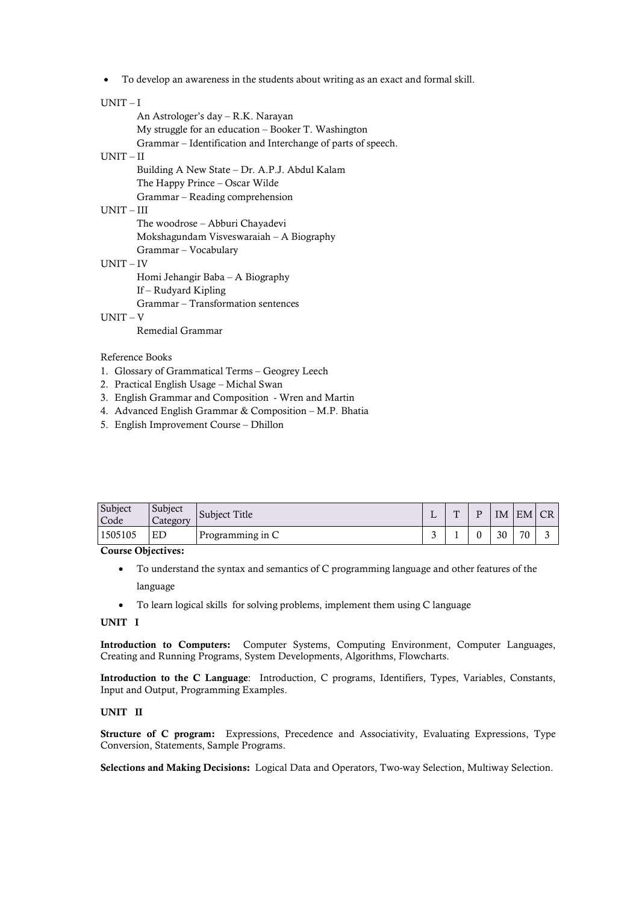To develop an awareness in the students about writing as an exact and formal skill.

#### UNIT – I

An Astrologer's day – R.K. Narayan My struggle for an education – Booker T. Washington Grammar – Identification and Interchange of parts of speech. UNIT – II Building A New State – Dr. A.P.J. Abdul Kalam The Happy Prince – Oscar Wilde

Grammar – Reading comprehension

### UNIT – III

The woodrose – Abburi Chayadevi Mokshagundam Visveswaraiah – A Biography Grammar – Vocabulary

### UNIT – IV

Homi Jehangir Baba – A Biography

If – Rudyard Kipling

Grammar – Transformation sentences

### UNIT – V

Remedial Grammar

#### Reference Books

- 1. Glossary of Grammatical Terms Geogrey Leech
- 2. Practical English Usage Michal Swan
- 3. English Grammar and Composition Wren and Martin
- 4. Advanced English Grammar & Composition M.P. Bhatia
- 5. English Improvement Course Dhillon

| Subject<br>Code | Subject<br>Category | Subject Title    | . .    | m | D | IΜ | EM | <b>CR</b> |
|-----------------|---------------------|------------------|--------|---|---|----|----|-----------|
| 1505105         | ED                  | Programming in C | ∼<br>ັ |   |   | 30 | 70 |           |

**Course Objectives:**

- To understand the syntax and semantics of C programming language and other features of the language
- To learn logical skills for solving problems, implement them using C language

#### **UNIT I**

**Introduction to Computers:** Computer Systems, Computing Environment, Computer Languages, Creating and Running Programs, System Developments, Algorithms, Flowcharts.

**Introduction to the C Language**: Introduction, C programs, Identifiers, Types, Variables, Constants, Input and Output, Programming Examples.

#### **UNIT II**

**Structure of C program:** Expressions, Precedence and Associativity, Evaluating Expressions, Type Conversion, Statements, Sample Programs.

**Selections and Making Decisions:** Logical Data and Operators, Two-way Selection, Multiway Selection.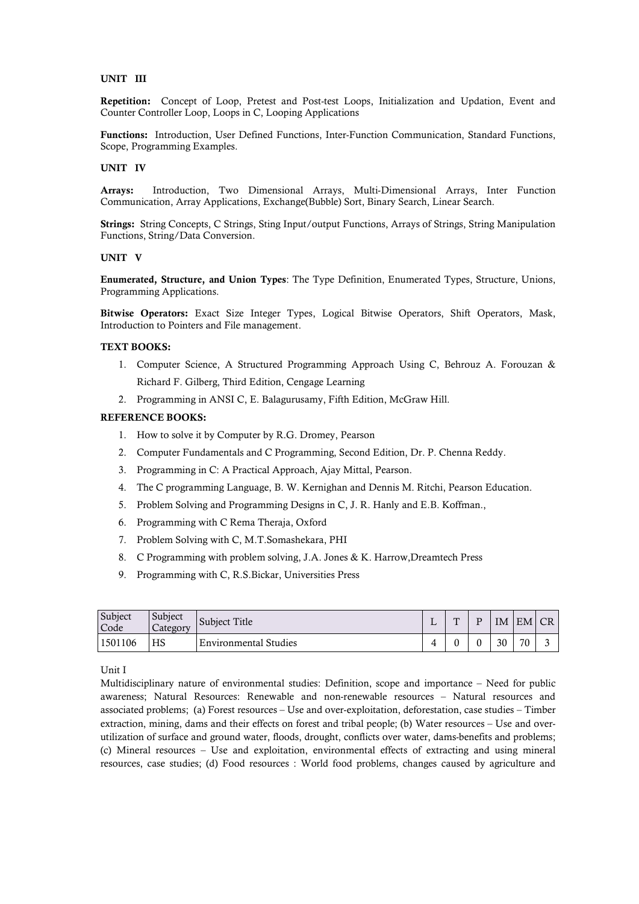### **UNIT III**

**Repetition:** Concept of Loop, Pretest and Post-test Loops, Initialization and Updation, Event and Counter Controller Loop, Loops in C, Looping Applications

**Functions:** Introduction, User Defined Functions, Inter-Function Communication, Standard Functions, Scope, Programming Examples.

#### **UNIT IV**

**Arrays:** Introduction, Two Dimensional Arrays, Multi-Dimensional Arrays, Inter Function Communication, Array Applications, Exchange(Bubble) Sort, Binary Search, Linear Search.

**Strings:** String Concepts, C Strings, Sting Input/output Functions, Arrays of Strings, String Manipulation Functions, String/Data Conversion.

#### **UNIT V**

**Enumerated, Structure, and Union Types**: The Type Definition, Enumerated Types, Structure, Unions, Programming Applications.

**Bitwise Operators:** Exact Size Integer Types, Logical Bitwise Operators, Shift Operators, Mask, Introduction to Pointers and File management.

#### **TEXT BOOKS:**

- 1. Computer Science, A Structured Programming Approach Using C, Behrouz A. Forouzan & Richard F. Gilberg, Third Edition, Cengage Learning
- 2. Programming in ANSI C, E. Balagurusamy, Fifth Edition, McGraw Hill.

#### **REFERENCE BOOKS:**

- 1. How to solve it by Computer by R.G. Dromey, Pearson
- 2. Computer Fundamentals and C Programming, Second Edition, Dr. P. Chenna Reddy.
- 3. Programming in C: A Practical Approach, Ajay Mittal, Pearson.
- 4. The C programming Language, B. W. Kernighan and Dennis M. Ritchi, Pearson Education.
- 5. Problem Solving and Programming Designs in C, J. R. Hanly and E.B. Koffman.,
- 6. Programming with C Rema Theraja, Oxford
- 7. Problem Solving with C, M.T.Somashekara, PHI
- 8. C Programming with problem solving, J.A. Jones & K. Harrow,Dreamtech Press
- 9. Programming with C, R.S.Bickar, Universities Press

| Subject<br>Code | Subject<br>Category | Subject Title                | ш. | $\mathbf{m}$ | ΙM | EM CR |  |
|-----------------|---------------------|------------------------------|----|--------------|----|-------|--|
| 1501106         | HS                  | <b>Environmental Studies</b> |    |              | 30 | 70    |  |

Unit I

Multidisciplinary nature of environmental studies: Definition, scope and importance – Need for public awareness; Natural Resources: Renewable and non-renewable resources – Natural resources and associated problems; (a) Forest resources – Use and over-exploitation, deforestation, case studies – Timber extraction, mining, dams and their effects on forest and tribal people; (b) Water resources – Use and overutilization of surface and ground water, floods, drought, conflicts over water, dams-benefits and problems; (c) Mineral resources – Use and exploitation, environmental effects of extracting and using mineral resources, case studies; (d) Food resources : World food problems, changes caused by agriculture and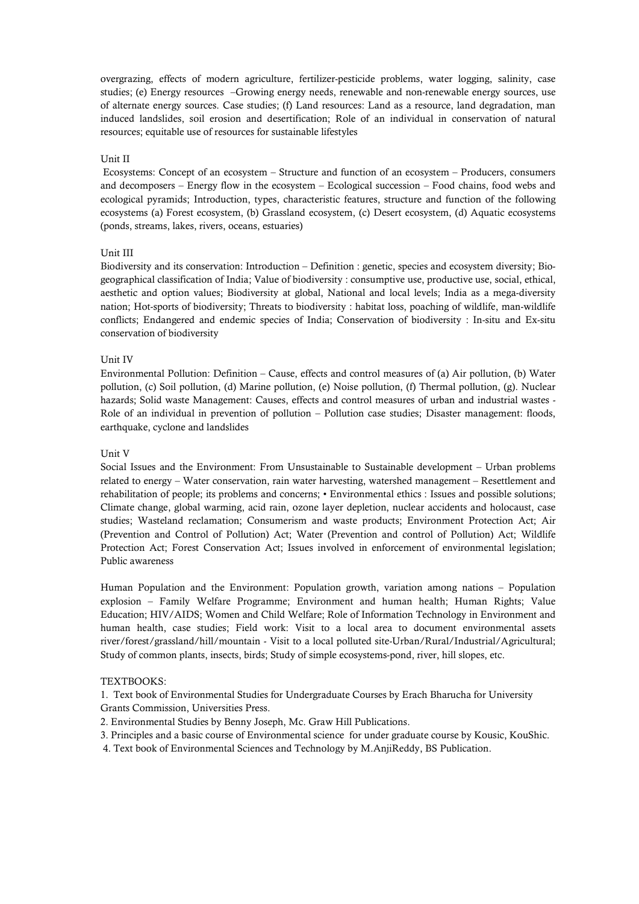overgrazing, effects of modern agriculture, fertilizer-pesticide problems, water logging, salinity, case studies; (e) Energy resources –Growing energy needs, renewable and non-renewable energy sources, use of alternate energy sources. Case studies; (f) Land resources: Land as a resource, land degradation, man induced landslides, soil erosion and desertification; Role of an individual in conservation of natural resources; equitable use of resources for sustainable lifestyles

#### Unit II

Ecosystems: Concept of an ecosystem – Structure and function of an ecosystem – Producers, consumers and decomposers – Energy flow in the ecosystem – Ecological succession – Food chains, food webs and ecological pyramids; Introduction, types, characteristic features, structure and function of the following ecosystems (a) Forest ecosystem, (b) Grassland ecosystem, (c) Desert ecosystem, (d) Aquatic ecosystems (ponds, streams, lakes, rivers, oceans, estuaries)

#### Unit III

Biodiversity and its conservation: Introduction – Definition : genetic, species and ecosystem diversity; Biogeographical classification of India; Value of biodiversity : consumptive use, productive use, social, ethical, aesthetic and option values; Biodiversity at global, National and local levels; India as a mega-diversity nation; Hot-sports of biodiversity; Threats to biodiversity : habitat loss, poaching of wildlife, man-wildlife conflicts; Endangered and endemic species of India; Conservation of biodiversity : In-situ and Ex-situ conservation of biodiversity

#### Unit IV

Environmental Pollution: Definition – Cause, effects and control measures of (a) Air pollution, (b) Water pollution, (c) Soil pollution, (d) Marine pollution, (e) Noise pollution, (f) Thermal pollution, (g). Nuclear hazards; Solid waste Management: Causes, effects and control measures of urban and industrial wastes - Role of an individual in prevention of pollution – Pollution case studies; Disaster management: floods, earthquake, cyclone and landslides

#### Unit V

Social Issues and the Environment: From Unsustainable to Sustainable development – Urban problems related to energy – Water conservation, rain water harvesting, watershed management – Resettlement and rehabilitation of people; its problems and concerns; • Environmental ethics : Issues and possible solutions; Climate change, global warming, acid rain, ozone layer depletion, nuclear accidents and holocaust, case studies; Wasteland reclamation; Consumerism and waste products; Environment Protection Act; Air (Prevention and Control of Pollution) Act; Water (Prevention and control of Pollution) Act; Wildlife Protection Act; Forest Conservation Act; Issues involved in enforcement of environmental legislation; Public awareness

Human Population and the Environment: Population growth, variation among nations – Population explosion – Family Welfare Programme; Environment and human health; Human Rights; Value Education; HIV/AIDS; Women and Child Welfare; Role of Information Technology in Environment and human health, case studies; Field work: Visit to a local area to document environmental assets river/forest/grassland/hill/mountain - Visit to a local polluted site-Urban/Rural/Industrial/Agricultural; Study of common plants, insects, birds; Study of simple ecosystems-pond, river, hill slopes, etc.

#### TEXTBOOKS:

1. Text book of Environmental Studies for Undergraduate Courses by Erach Bharucha for University Grants Commission, Universities Press.

2. Environmental Studies by Benny Joseph, Mc. Graw Hill Publications.

3. Principles and a basic course of Environmental science for under graduate course by Kousic, KouShic.

4. Text book of Environmental Sciences and Technology by M.AnjiReddy, BS Publication.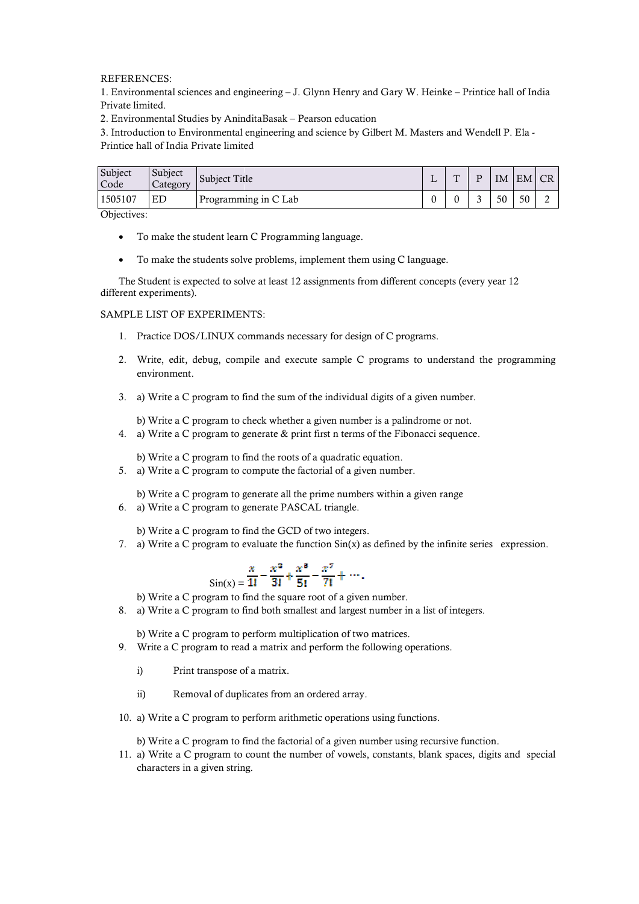REFERENCES:

1. Environmental sciences and engineering – J. Glynn Henry and Gary W. Heinke – Private limited.

| Private limited. | 1. Environmental sciences and engineering – J. Glynn Henry and Gary W. Heinke – Printice hall of India                                                                                                                         |  |  |               |  |  |  |  |                      |                                                                                               |  |  |  |  |  |  |   |                  |              |    |    |                |  |
|------------------|--------------------------------------------------------------------------------------------------------------------------------------------------------------------------------------------------------------------------------|--|--|---------------|--|--|--|--|----------------------|-----------------------------------------------------------------------------------------------|--|--|--|--|--|--|---|------------------|--------------|----|----|----------------|--|
|                  | 2. Environmental Studies by AninditaBasak - Pearson education                                                                                                                                                                  |  |  |               |  |  |  |  |                      |                                                                                               |  |  |  |  |  |  |   |                  |              |    |    |                |  |
|                  | 3. Introduction to Environmental engineering and science by Gilbert M. Masters and Wendell P. Ela -                                                                                                                            |  |  |               |  |  |  |  |                      |                                                                                               |  |  |  |  |  |  |   |                  |              |    |    |                |  |
|                  | Printice hall of India Private limited                                                                                                                                                                                         |  |  |               |  |  |  |  |                      |                                                                                               |  |  |  |  |  |  |   |                  |              |    |    |                |  |
| Subject          | Subject                                                                                                                                                                                                                        |  |  | Subject Title |  |  |  |  |                      |                                                                                               |  |  |  |  |  |  | L | T                | $\mathbf{P}$ | IM | EM | <b>CR</b>      |  |
| Code<br>1505107  | Category<br>ED                                                                                                                                                                                                                 |  |  |               |  |  |  |  | Programming in C Lab |                                                                                               |  |  |  |  |  |  | 0 | $\boldsymbol{0}$ | 3            | 50 | 50 | $\overline{2}$ |  |
| Objectives:      |                                                                                                                                                                                                                                |  |  |               |  |  |  |  |                      |                                                                                               |  |  |  |  |  |  |   |                  |              |    |    |                |  |
|                  | To make the student learn C Programming language.                                                                                                                                                                              |  |  |               |  |  |  |  |                      |                                                                                               |  |  |  |  |  |  |   |                  |              |    |    |                |  |
| $\bullet$        | To make the students solve problems, implement them using C language.                                                                                                                                                          |  |  |               |  |  |  |  |                      |                                                                                               |  |  |  |  |  |  |   |                  |              |    |    |                |  |
|                  | The Student is expected to solve at least 12 assignments from different concepts (every year 12                                                                                                                                |  |  |               |  |  |  |  |                      |                                                                                               |  |  |  |  |  |  |   |                  |              |    |    |                |  |
|                  | different experiments).                                                                                                                                                                                                        |  |  |               |  |  |  |  |                      |                                                                                               |  |  |  |  |  |  |   |                  |              |    |    |                |  |
|                  | SAMPLE LIST OF EXPERIMENTS:                                                                                                                                                                                                    |  |  |               |  |  |  |  |                      |                                                                                               |  |  |  |  |  |  |   |                  |              |    |    |                |  |
| 1.               | Practice DOS/LINUX commands necessary for design of C programs.                                                                                                                                                                |  |  |               |  |  |  |  |                      |                                                                                               |  |  |  |  |  |  |   |                  |              |    |    |                |  |
|                  | 2. Write, edit, debug, compile and execute sample C programs to understand the programming<br>environment.                                                                                                                     |  |  |               |  |  |  |  |                      |                                                                                               |  |  |  |  |  |  |   |                  |              |    |    |                |  |
| 3.               | a) Write a C program to find the sum of the individual digits of a given number.                                                                                                                                               |  |  |               |  |  |  |  |                      |                                                                                               |  |  |  |  |  |  |   |                  |              |    |    |                |  |
| 4.               | b) Write a C program to check whether a given number is a palindrome or not.<br>a) Write a C program to generate & print first n terms of the Fibonacci sequence.                                                              |  |  |               |  |  |  |  |                      |                                                                                               |  |  |  |  |  |  |   |                  |              |    |    |                |  |
| 5.               | b) Write a C program to find the roots of a quadratic equation.<br>a) Write a C program to compute the factorial of a given number.                                                                                            |  |  |               |  |  |  |  |                      |                                                                                               |  |  |  |  |  |  |   |                  |              |    |    |                |  |
| 6.               | b) Write a C program to generate all the prime numbers within a given range<br>a) Write a C program to generate PASCAL triangle.                                                                                               |  |  |               |  |  |  |  |                      |                                                                                               |  |  |  |  |  |  |   |                  |              |    |    |                |  |
| 7.               | b) Write a C program to find the GCD of two integers.<br>a) Write a C program to evaluate the function $Sin(x)$ as defined by the infinite series expression.                                                                  |  |  |               |  |  |  |  |                      |                                                                                               |  |  |  |  |  |  |   |                  |              |    |    |                |  |
| 8.               | b) Write a C program to find the square root of a given number.<br>a) Write a C program to find both smallest and largest number in a list of integers.                                                                        |  |  |               |  |  |  |  |                      | $S_{\text{in}(x)} = \frac{x}{1!} - \frac{x^3}{3!} + \frac{x^5}{5!} - \frac{x^7}{7!} + \cdots$ |  |  |  |  |  |  |   |                  |              |    |    |                |  |
| 9.               | b) Write a C program to perform multiplication of two matrices.<br>Write a C program to read a matrix and perform the following operations.                                                                                    |  |  |               |  |  |  |  |                      |                                                                                               |  |  |  |  |  |  |   |                  |              |    |    |                |  |
|                  | Print transpose of a matrix.<br>i)                                                                                                                                                                                             |  |  |               |  |  |  |  |                      |                                                                                               |  |  |  |  |  |  |   |                  |              |    |    |                |  |
|                  | Removal of duplicates from an ordered array.<br>$\overline{11}$                                                                                                                                                                |  |  |               |  |  |  |  |                      |                                                                                               |  |  |  |  |  |  |   |                  |              |    |    |                |  |
|                  | 10. a) Write a C program to perform arithmetic operations using functions.                                                                                                                                                     |  |  |               |  |  |  |  |                      |                                                                                               |  |  |  |  |  |  |   |                  |              |    |    |                |  |
|                  | b) Write a C program to find the factorial of a given number using recursive function.<br>11. a) Write a C program to count the number of vowels, constants, blank spaces, digits and special<br>characters in a given string. |  |  |               |  |  |  |  |                      |                                                                                               |  |  |  |  |  |  |   |                  |              |    |    |                |  |

- To make the student learn C Programming language.
- To make the students solve problems, implement them using C language.

#### SAMPLE LIST OF EXPERIMENTS:

- 1. Practice DOS/LINUX commands necessary for design of C programs.
- 2. Write, edit, debug, compile and execute sample C programs to understand the programming environment. solve at least 12 assignments from different concepts (every<br>MENTS:<br>X commands necessary for design of C programs.<br>ompile and execute sample C programs to understand th<br>to find the sum of the individual digits of a given n
- 3. a) Write a C program to find the sum of the individual digits of a given number.

\n- b) Write a C program to find the GCD of two integers.
\n- a) Write a C program to evaluate the function 
$$
Sin(x)
$$
 as defined by the infinite series\n 
$$
\frac{x}{Sin(x)} = \frac{x^3}{1!} + \frac{x^5}{5!} - \frac{x^7}{7!} + \cdots
$$
\n
\n- b) Write a C program to find the square root of a given number.\n
	\n- a) Write a C program to find both smallest and largest number in a list of integers.
	\n- b) Write a C program to perform multiplication of two matrices.
	\n\n
\n- Write a C program to read a matrix and perform the following operations.
\n- c) Print transpose of a matrix.
\n- d) Write a C program to perform arithmetic operations using functions.
\n- e) Write a C program to find the factorial of a given number using recursive function.
\n- f) Write a C program to find the factorial of a given number using recursive function.
\n

- 8. a) Write a C program to find both smallest and largest number in a list of i<br>b) Write a C program to perform multiplication of two matrices.<br>9. Write a C program to read a matrix and perform the following operations.
	- i) Print transpose of a matrix.
	- ii) Removal of duplicates from an ordered array.
- 10. a) Write a C program to perform arithmetic operations using functions.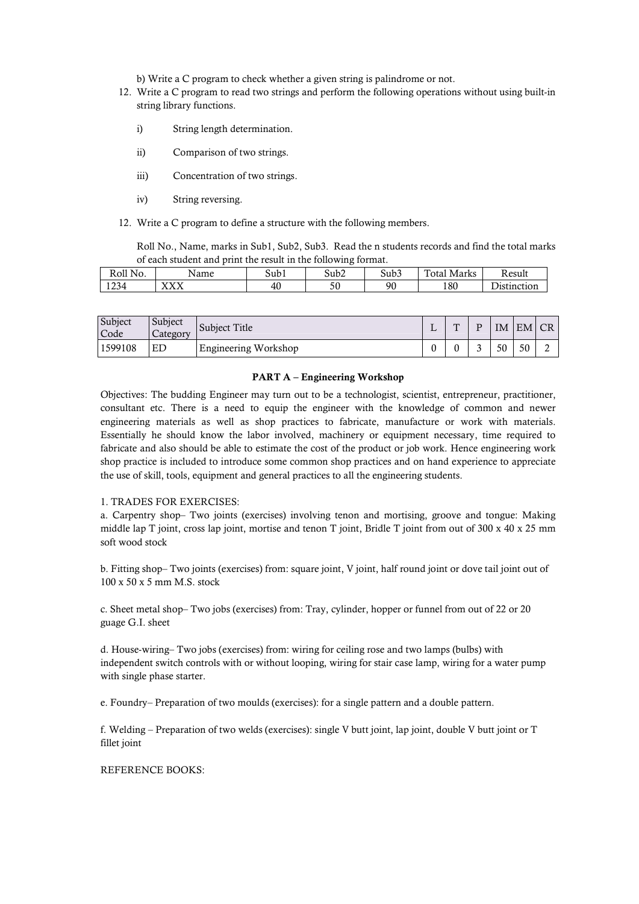b) Write a C program to check whether a given string is palindrome or not.

- 12. Write a C program to read two strings and perform the following operations without using built-in string library functions.
	- i) String length determination.
	- ii) Comparison of two strings.
	- iii) Concentration of two strings.
	- iv) String reversing.
- 12. Write a C program to define a structure with the following members.

Roll No., Name, marks in Sub1, Sub2, Sub3. Read the n students records and find the total marks of each student and print the result in the following format.

| Roll No.<br>n. | Name            | ີ<br>Subl | $\sim$<br>$\sim$<br>Sub2  | $\sim$<br>Sub3 | m<br>. .<br>`otal<br>Marks | Result                     |
|----------------|-----------------|-----------|---------------------------|----------------|----------------------------|----------------------------|
| 1234           | 373737<br>21222 | 40        | $\epsilon$ $\alpha$<br>υc | 90             | 180                        | $\sim$<br>:inction<br>11 C |

| Subject<br>Code | Subject<br>Category | Subiect Title        | $\mathbf{m}$ | IM | EM CR |  |
|-----------------|---------------------|----------------------|--------------|----|-------|--|
| 1599108         | ΕD                  | Engineering Workshop |              | 50 | 50    |  |

#### **PART A – Engineering Workshop**

Objectives: The budding Engineer may turn out to be a technologist, scientist, entrepreneur, practitioner, consultant etc. There is a need to equip the engineer with the knowledge of common and newer engineering materials as well as shop practices to fabricate, manufacture or work with materials. Essentially he should know the labor involved, machinery or equipment necessary, time required to fabricate and also should be able to estimate the cost of the product or job work. Hence engineering work shop practice is included to introduce some common shop practices and on hand experience to appreciate the use of skill, tools, equipment and general practices to all the engineering students.

#### 1. TRADES FOR EXERCISES:

a. Carpentry shop– Two joints (exercises) involving tenon and mortising, groove and tongue: Making middle lap T joint, cross lap joint, mortise and tenon T joint, Bridle T joint from out of 300 x 40 x 25 mm soft wood stock

b. Fitting shop– Two joints (exercises) from: square joint, V joint, half round joint or dove tail joint out of 100 x 50 x 5 mm M.S. stock

c. Sheet metal shop– Two jobs (exercises) from: Tray, cylinder, hopper or funnel from out of 22 or 20 guage G.I. sheet

d. House-wiring– Two jobs (exercises) from: wiring for ceiling rose and two lamps (bulbs) with independent switch controls with or without looping, wiring for stair case lamp, wiring for a water pump with single phase starter.

e. Foundry– Preparation of two moulds (exercises): for a single pattern and a double pattern.

f. Welding – Preparation of two welds (exercises): single V butt joint, lap joint, double V butt joint or T fillet joint

### REFERENCE BOOKS: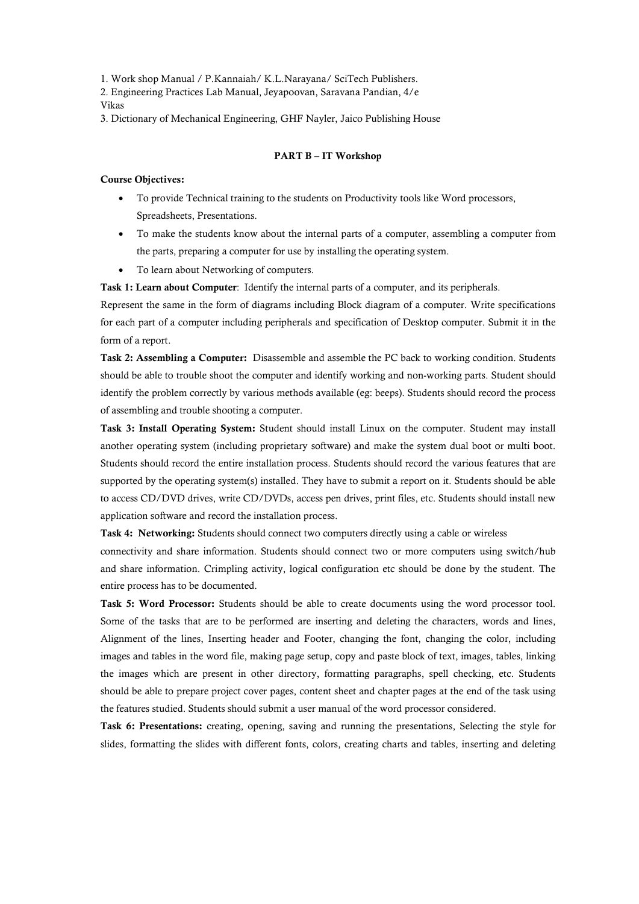1. Work shop Manual / P.Kannaiah/ K.L.Narayana/ SciTech Publishers.

2. Engineering Practices Lab Manual, Jeyapoovan, Saravana Pandian, 4/e Vikas

3. Dictionary of Mechanical Engineering, GHF Nayler, Jaico Publishing House

#### **PART B – IT Workshop**

#### **Course Objectives:**

- To provide Technical training to the students on Productivity tools like Word processors, Spreadsheets, Presentations.
- To make the students know about the internal parts of a computer, assembling a computer from the parts, preparing a computer for use by installing the operating system.
- To learn about Networking of computers.

**Task 1: Learn about Computer**: Identify the internal parts of a computer, and its peripherals.

Represent the same in the form of diagrams including Block diagram of a computer. Write specifications for each part of a computer including peripherals and specification of Desktop computer. Submit it in the form of a report.

**Task 2: Assembling a Computer:** Disassemble and assemble the PC back to working condition. Students should be able to trouble shoot the computer and identify working and non-working parts. Student should identify the problem correctly by various methods available (eg: beeps). Students should record the process of assembling and trouble shooting a computer.

**Task 3: Install Operating System:** Student should install Linux on the computer. Student may install another operating system (including proprietary software) and make the system dual boot or multi boot. Students should record the entire installation process. Students should record the various features that are supported by the operating system(s) installed. They have to submit a report on it. Students should be able to access CD/DVD drives, write CD/DVDs, access pen drives, print files, etc. Students should install new application software and record the installation process.

**Task 4: Networking:** Students should connect two computers directly using a cable or wireless

connectivity and share information. Students should connect two or more computers using switch/hub and share information. Crimpling activity, logical configuration etc should be done by the student. The entire process has to be documented.

**Task 5: Word Processor:** Students should be able to create documents using the word processor tool. Some of the tasks that are to be performed are inserting and deleting the characters, words and lines, Alignment of the lines, Inserting header and Footer, changing the font, changing the color, including images and tables in the word file, making page setup, copy and paste block of text, images, tables, linking the images which are present in other directory, formatting paragraphs, spell checking, etc. Students should be able to prepare project cover pages, content sheet and chapter pages at the end of the task using the features studied. Students should submit a user manual of the word processor considered.

**Task 6: Presentations:** creating, opening, saving and running the presentations, Selecting the style for slides, formatting the slides with different fonts, colors, creating charts and tables, inserting and deleting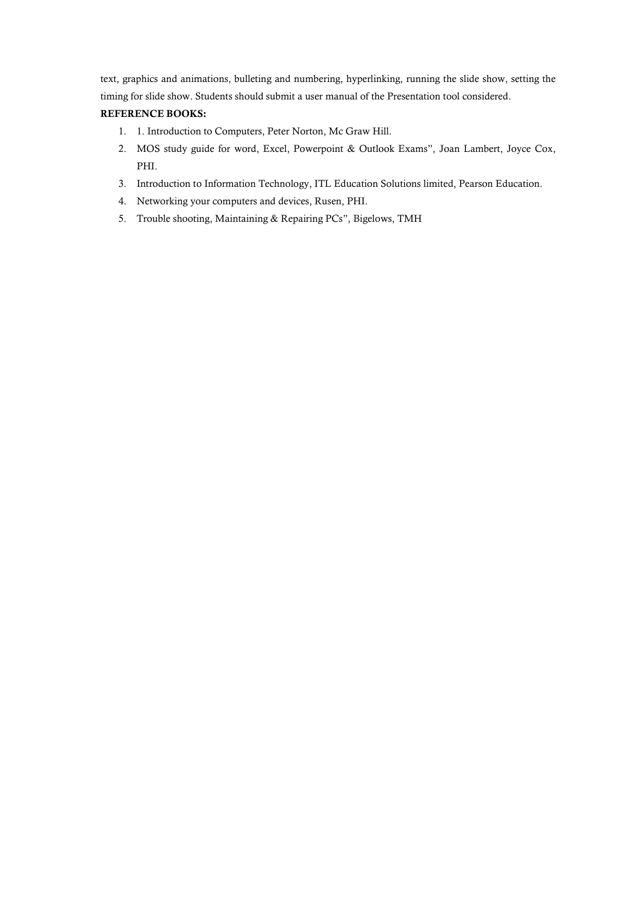text, graphics and animations, bulleting and numbering, hyperlinking, running the slide show, setting the timing for slide show. Students should submit a user manual of the Presentation tool considered.

### **REFERENCE BOOKS:**

- 1. 1. Introduction to Computers, Peter Norton, Mc Graw Hill.
- 2. MOS study guide for word, Excel, Powerpoint & Outlook Exams", Joan Lambert, Joyce Cox, PHI.
- 3. Introduction to Information Technology, ITL Education Solutions limited, Pearson Education.
- 4. Networking your computers and devices, Rusen, PHI.
- 5. Trouble shooting, Maintaining & Repairing PCs", Bigelows, TMH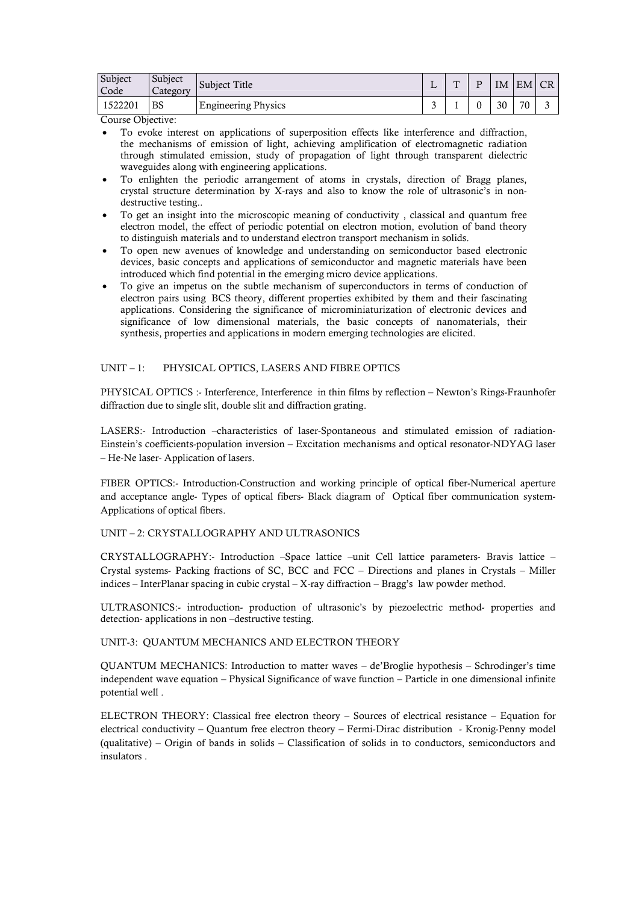| Subject<br>Code | Subject<br>Category | Subject Title              | <b>State</b> | $\mathbf{m}$ | ת | IM | EM CR |  |
|-----------------|---------------------|----------------------------|--------------|--------------|---|----|-------|--|
| 1522201         | BS                  | <b>Engineering Physics</b> | ັ            |              |   | 30 | 70    |  |

Course Objective:

- To evoke interest on applications of superposition effects like interference and diffraction, the mechanisms of emission of light, achieving amplification of electromagnetic radiation through stimulated emission, study of propagation of light through transparent dielectric waveguides along with engineering applications.
- To enlighten the periodic arrangement of atoms in crystals, direction of Bragg planes, crystal structure determination by X-rays and also to know the role of ultrasonic's in nondestructive testing..
- To get an insight into the microscopic meaning of conductivity , classical and quantum free electron model, the effect of periodic potential on electron motion, evolution of band theory to distinguish materials and to understand electron transport mechanism in solids.
- To open new avenues of knowledge and understanding on semiconductor based electronic devices, basic concepts and applications of semiconductor and magnetic materials have been introduced which find potential in the emerging micro device applications.
- To give an impetus on the subtle mechanism of superconductors in terms of conduction of electron pairs using BCS theory, different properties exhibited by them and their fascinating applications. Considering the significance of microminiaturization of electronic devices and significance of low dimensional materials, the basic concepts of nanomaterials, their synthesis, properties and applications in modern emerging technologies are elicited.

### UNIT – 1: PHYSICAL OPTICS, LASERS AND FIBRE OPTICS

PHYSICAL OPTICS :- Interference, Interference in thin films by reflection – Newton's Rings-Fraunhofer diffraction due to single slit, double slit and diffraction grating.

LASERS:- Introduction –characteristics of laser-Spontaneous and stimulated emission of radiation-Einstein's coefficients-population inversion – Excitation mechanisms and optical resonator-NDYAG laser – He-Ne laser- Application of lasers.

FIBER OPTICS:- Introduction-Construction and working principle of optical fiber-Numerical aperture and acceptance angle- Types of optical fibers- Black diagram of Optical fiber communication system-Applications of optical fibers.

#### UNIT – 2: CRYSTALLOGRAPHY AND ULTRASONICS

CRYSTALLOGRAPHY:- Introduction –Space lattice –unit Cell lattice parameters- Bravis lattice – Crystal systems- Packing fractions of SC, BCC and FCC – Directions and planes in Crystals – Miller indices – InterPlanar spacing in cubic crystal – X-ray diffraction – Bragg's law powder method.

ULTRASONICS:- introduction- production of ultrasonic's by piezoelectric method- properties and detection- applications in non –destructive testing.

UNIT-3: QUANTUM MECHANICS AND ELECTRON THEORY

QUANTUM MECHANICS: Introduction to matter waves – de'Broglie hypothesis – Schrodinger's time independent wave equation – Physical Significance of wave function – Particle in one dimensional infinite potential well .

ELECTRON THEORY: Classical free electron theory – Sources of electrical resistance – Equation for electrical conductivity – Quantum free electron theory – Fermi-Dirac distribution - Kronig-Penny model (qualitative) – Origin of bands in solids – Classification of solids in to conductors, semiconductors and insulators .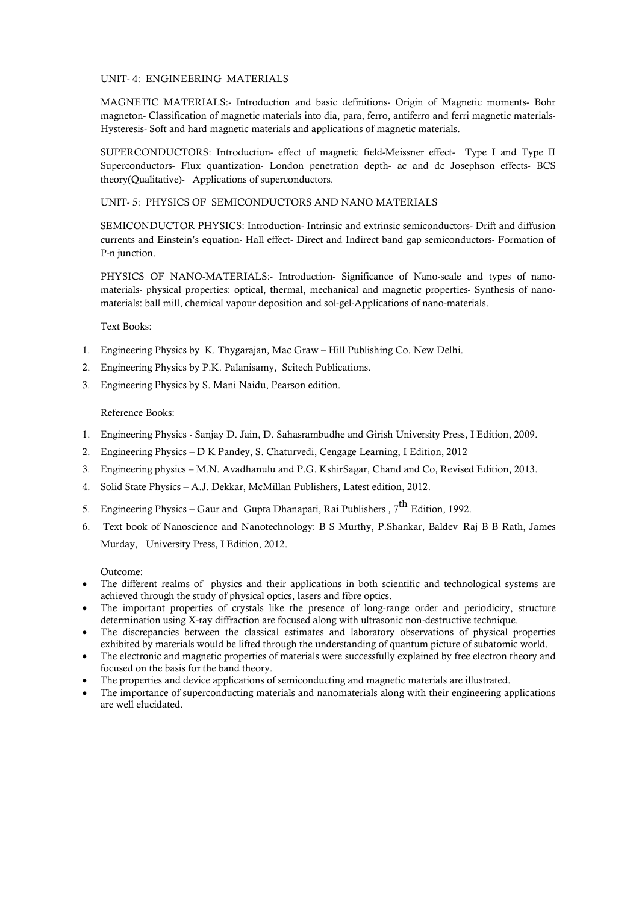### UNIT- 4: ENGINEERING MATERIALS

MAGNETIC MATERIALS:- Introduction and basic definitions- Origin of Magnetic moments- Bohr magneton- Classification of magnetic materials into dia, para, ferro, antiferro and ferri magnetic materials-Hysteresis- Soft and hard magnetic materials and applications of magnetic materials.

SUPERCONDUCTORS: Introduction- effect of magnetic field-Meissner effect- Type I and Type II Superconductors- Flux quantization- London penetration depth- ac and dc Josephson effects- BCS theory(Qualitative)- Applications of superconductors.

#### UNIT- 5: PHYSICS OF SEMICONDUCTORS AND NANO MATERIALS

SEMICONDUCTOR PHYSICS: Introduction- Intrinsic and extrinsic semiconductors- Drift and diffusion currents and Einstein's equation- Hall effect- Direct and Indirect band gap semiconductors- Formation of P-n junction.

PHYSICS OF NANO-MATERIALS:- Introduction- Significance of Nano-scale and types of nanomaterials- physical properties: optical, thermal, mechanical and magnetic properties- Synthesis of nanomaterials: ball mill, chemical vapour deposition and sol-gel-Applications of nano-materials.

Text Books:

- 1. Engineering Physics by K. Thygarajan, Mac Graw Hill Publishing Co. New Delhi.
- 2. Engineering Physics by P.K. Palanisamy, Scitech Publications.
- 3. Engineering Physics by S. Mani Naidu, Pearson edition.

#### Reference Books:

- 1. Engineering Physics Sanjay D. Jain, D. Sahasrambudhe and Girish University Press, I Edition, 2009.
- 2. Engineering Physics D K Pandey, S. Chaturvedi, Cengage Learning, I Edition, 2012
- 3. Engineering physics M.N. Avadhanulu and P.G. KshirSagar, Chand and Co, Revised Edition, 2013.
- 4. Solid State Physics A.J. Dekkar, McMillan Publishers, Latest edition, 2012.
- 5. Engineering Physics Gaur and Gupta Dhanapati, Rai Publishers ,  $7^{\text{th}}$  Edition, 1992.
- 6. Text book of Nanoscience and Nanotechnology: B S Murthy, P.Shankar, Baldev Raj B B Rath, James Murday, University Press, I Edition, 2012.

Outcome:

- The different realms of physics and their applications in both scientific and technological systems are achieved through the study of physical optics, lasers and fibre optics.
- The important properties of crystals like the presence of long-range order and periodicity, structure determination using X-ray diffraction are focused along with ultrasonic non-destructive technique.
- The discrepancies between the classical estimates and laboratory observations of physical properties exhibited by materials would be lifted through the understanding of quantum picture of subatomic world.
- The electronic and magnetic properties of materials were successfully explained by free electron theory and focused on the basis for the band theory.
- The properties and device applications of semiconducting and magnetic materials are illustrated.
- The importance of superconducting materials and nanomaterials along with their engineering applications are well elucidated.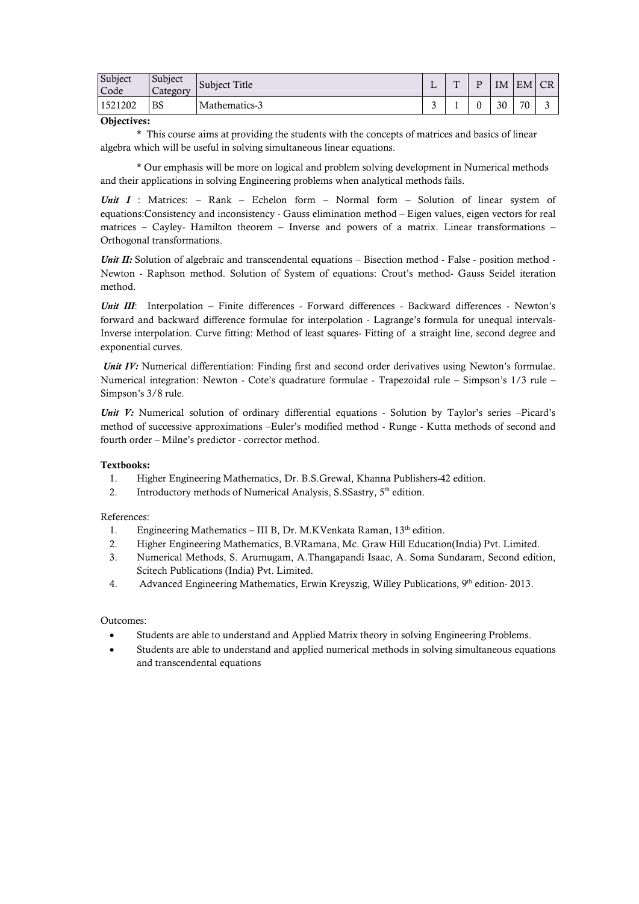| Subject<br>Code | Subject<br>Category | Subject Title | $\overline{\phantom{0}}$<br>∸ | $\mathbf{m}$ | ΙM | EM | $\sqrt{CR}$ |
|-----------------|---------------------|---------------|-------------------------------|--------------|----|----|-------------|
| 1521202         | <b>BS</b>           | Mathematics-3 | $\sqrt{2}$<br>ັ               |              | 30 | 70 | ∽           |

#### **Objectives:**

\* This course aims at providing the students with the concepts of matrices and basics of linear algebra which will be useful in solving simultaneous linear equations.

\* Our emphasis will be more on logical and problem solving development in Numerical methods and their applications in solving Engineering problems when analytical methods fails.

*Unit I* : Matrices: – Rank – Echelon form – Normal form – Solution of linear system of equations:Consistency and inconsistency - Gauss elimination method – Eigen values, eigen vectors for real matrices – Cayley- Hamilton theorem – Inverse and powers of a matrix. Linear transformations – Orthogonal transformations.

*Unit II:* Solution of algebraic and transcendental equations – Bisection method - False - position method -Newton - Raphson method. Solution of System of equations: Crout's method- Gauss Seidel iteration method.

*Unit III*: Interpolation – Finite differences - Forward differences - Backward differences - Newton's forward and backward difference formulae for interpolation - Lagrange's formula for unequal intervals-Inverse interpolation. Curve fitting: Method of least squares- Fitting of a straight line, second degree and exponential curves.

*Unit IV:* Numerical differentiation: Finding first and second order derivatives using Newton's formulae. Numerical integration: Newton - Cote's quadrature formulae - Trapezoidal rule – Simpson's 1/3 rule – Simpson's 3/8 rule.

*Unit V:* Numerical solution of ordinary differential equations - Solution by Taylor's series –Picard's method of successive approximations –Euler's modified method - Runge - Kutta methods of second and fourth order – Milne's predictor - corrector method.

### **Textbooks:**

- 1. Higher Engineering Mathematics, Dr. B.S.Grewal, Khanna Publishers-42 edition.
- 2. Introductory methods of Numerical Analysis, S.SSastry,  $5<sup>th</sup>$  edition.

### References:

- 1. Engineering Mathematics III B, Dr. M.KVenkata Raman,  $13<sup>th</sup>$  edition.
- 2. Higher Engineering Mathematics, B.VRamana, Mc. Graw Hill Education(India) Pvt. Limited.
- 3. Numerical Methods, S. Arumugam, A.Thangapandi Isaac, A. Soma Sundaram, Second edition, Scitech Publications (India) Pvt. Limited.
- 4. Advanced Engineering Mathematics, Erwin Kreyszig, Willey Publications, 9<sup>th</sup> edition-2013.

### Outcomes:

- Students are able to understand and Applied Matrix theory in solving Engineering Problems.
- Students are able to understand and applied numerical methods in solving simultaneous equations and transcendental equations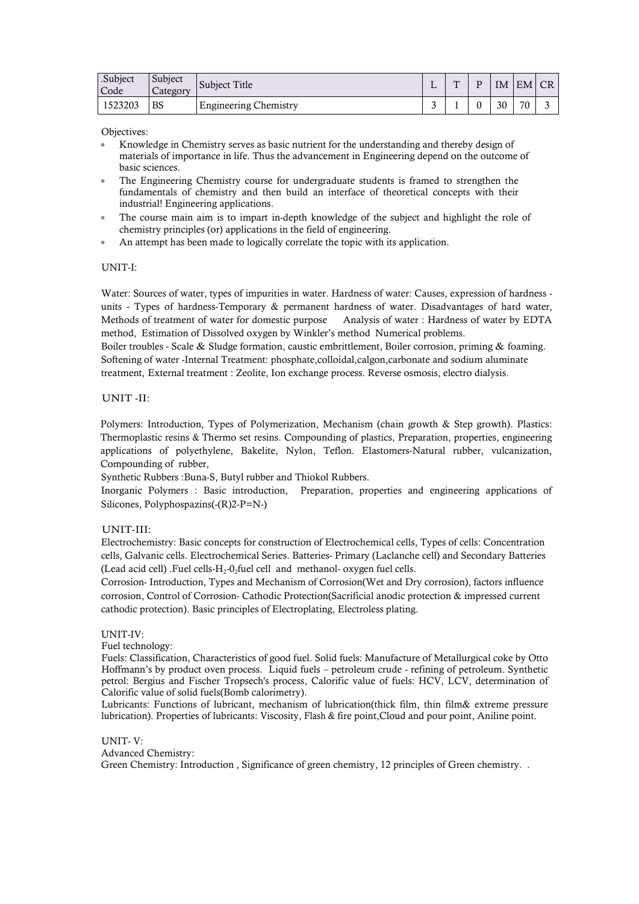| .Subject<br>Code | Subject<br><i>Category</i> | Subject Title                | . . | $\mathbf{m}$ | D |    | IM EM CR |   |
|------------------|----------------------------|------------------------------|-----|--------------|---|----|----------|---|
| 1523203          | <b>BS</b>                  | <b>Engineering Chemistry</b> | ∼   |              |   | 30 | 70       | ∽ |

Objectives:

- Knowledge in Chemistry serves as basic nutrient for the understanding and thereby design of materials of importance in life. Thus the advancement in Engineering depend on the outcome of basic sciences.
- The Engineering Chemistry course for undergraduate students is framed to strengthen the fundamentals of chemistry and then build an interface of theoretical concepts with their industrial! Engineering applications.
- The course main aim is to impart in-depth knowledge of the subject and highlight the role of chemistry principles (or) applications in the field of engineering.
- An attempt has been made to logically correlate the topic with its application.

### UNIT-I:

Water: Sources of water, types of impurities in water. Hardness of water: Causes, expression of hardness units - Types of hardness-Temporary & permanent hardness of water. Disadvantages of hard water, Methods of treatment of water for domestic purpose Analysis of water : Hardness of water by EDTA method, Estimation of Dissolved oxygen by Winkler's method Numerical problems.

Boiler troubles - Scale & Sludge formation, caustic embrittlement, Boiler corrosion, priming & foaming. Softening of water -Internal Treatment: phosphate,colloidal,calgon,carbonate and sodium aluminate treatment, External treatment : Zeolite, Ion exchange process. Reverse osmosis, electro dialysis.

#### UNIT -II:

Polymers: Introduction, Types of Polymerization, Mechanism (chain growth & Step growth). Plastics: Thermoplastic resins & Thermo set resins. Compounding of plastics, Preparation, properties, engineering applications of polyethylene, Bakelite, Nylon, Teflon. Elastomers-Natural rubber, vulcanization, Compounding of rubber,

Synthetic Rubbers :Buna-S, Butyl rubber and Thiokol Rubbers.

Inorganic Polymers : Basic introduction, Preparation, properties and engineering applications of Silicones, Polyphospazins(-(R)2-P=N-)

### UNIT-III:

Electrochemistry: Basic concepts for construction of Electrochemical cells, Types of cells: Concentration cells, Galvanic cells. Electrochemical Series. Batteries- Primary (Laclanche cell) and Secondary Batteries (Lead acid cell) .Fuel cells- $H_2$ -0<sub>2</sub>fuel cell and methanol- oxygen fuel cells.

Corrosion- Introduction, Types and Mechanism of Corrosion(Wet and Dry corrosion), factors influence corrosion, Control of Corrosion- Cathodic Protection(Sacrificial anodic protection & impressed current cathodic protection). Basic principles of Electroplating, Electroless plating.

#### UNIT-IV:

Fuel technology:

Fuels: Classification, Characteristics of good fuel. Solid fuels: Manufacture of Metallurgical coke by Otto Hoffmann's by product oven process. Liquid fuels – petroleum crude - refining of petroleum. Synthetic petrol: Bergius and Fischer Tropsech's process, Calorific value of fuels: HCV, LCV, determination of Calorific value of solid fuels(Bomb calorimetry).

Lubricants: Functions of lubricant, mechanism of lubrication(thick film, thin film& extreme pressure lubrication). Properties of lubricants: Viscosity, Flash & fire point,Cloud and pour point, Aniline point.

#### UNIT- V:

Advanced Chemistry:

Green Chemistry: Introduction , Significance of green chemistry, 12 principles of Green chemistry. .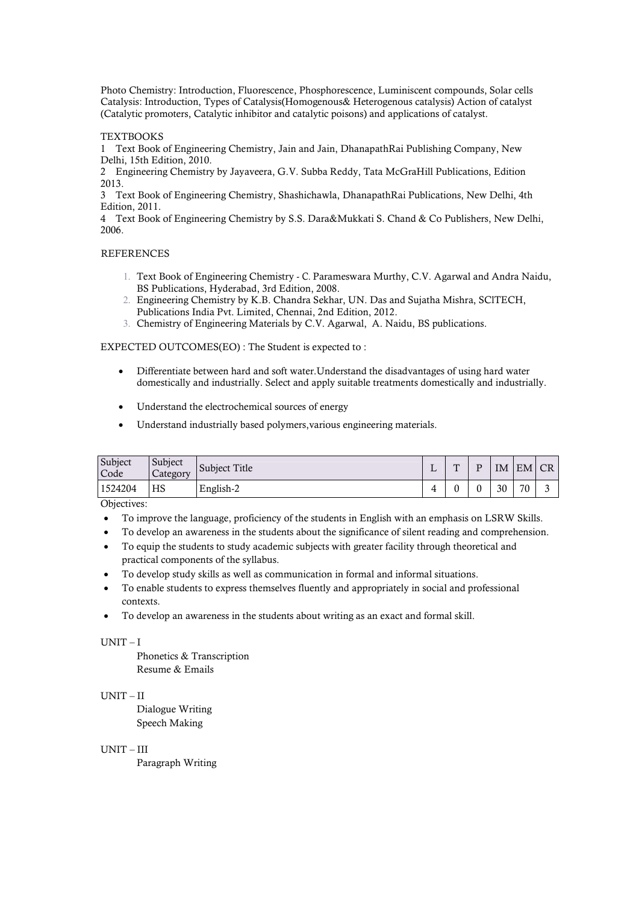Photo Chemistry: Introduction, Fluorescence, Phosphorescence, Luminiscent compounds, Solar cells Catalysis: Introduction, Types of Catalysis(Homogenous& Heterogenous catalysis) Action of catalyst (Catalytic promoters, Catalytic inhibitor and catalytic poisons) and applications of catalyst.

#### **TEXTBOOKS**

1 Text Book of Engineering Chemistry, Jain and Jain, DhanapathRai Publishing Company, New Delhi, 15th Edition, 2010.

2 Engineering Chemistry by Jayaveera, G.V. Subba Reddy, Tata McGraHill Publications, Edition 2013.

3 Text Book of Engineering Chemistry, Shashichawla, DhanapathRai Publications, New Delhi, 4th Edition, 2011.

4 Text Book of Engineering Chemistry by S.S. Dara&Mukkati S. Chand & Co Publishers, New Delhi, 2006.

#### **REFERENCES**

- 1. Text Book of Engineering Chemistry C. Parameswara Murthy, C.V. Agarwal and Andra Naidu, BS Publications, Hyderabad, 3rd Edition, 2008.
- 2. Engineering Chemistry by K.B. Chandra Sekhar, UN. Das and Sujatha Mishra, SClTECH, Publications India Pvt. Limited, Chennai, 2nd Edition, 2012.
- 3. Chemistry of Engineering Materials by C.V. Agarwal, A. Naidu, BS publications.

#### EXPECTED OUTCOMES(EO) : The Student is expected to :

- Differentiate between hard and soft water.Understand the disadvantages of using hard water domestically and industrially. Select and apply suitable treatments domestically and industrially.
- Understand the electrochemical sources of energy
- Understand industrially based polymers,various engineering materials.

| Subject<br>Code | Subject<br>Category | <b>Subject Title</b> | . . | m | D | IΜ | EM CR |  |
|-----------------|---------------------|----------------------|-----|---|---|----|-------|--|
| 1524204         | HS                  | English-2            |     | ⌒ |   | 30 | 70    |  |

Objectives:

- To improve the language, proficiency of the students in English with an emphasis on LSRW Skills.
- To develop an awareness in the students about the significance of silent reading and comprehension.
- To equip the students to study academic subjects with greater facility through theoretical and practical components of the syllabus.
- To develop study skills as well as communication in formal and informal situations.
- To enable students to express themselves fluently and appropriately in social and professional contexts.
- To develop an awareness in the students about writing as an exact and formal skill.

### UNIT – I

Phonetics & Transcription Resume & Emails

### UNIT – II

Dialogue Writing Speech Making

#### UNIT – III

Paragraph Writing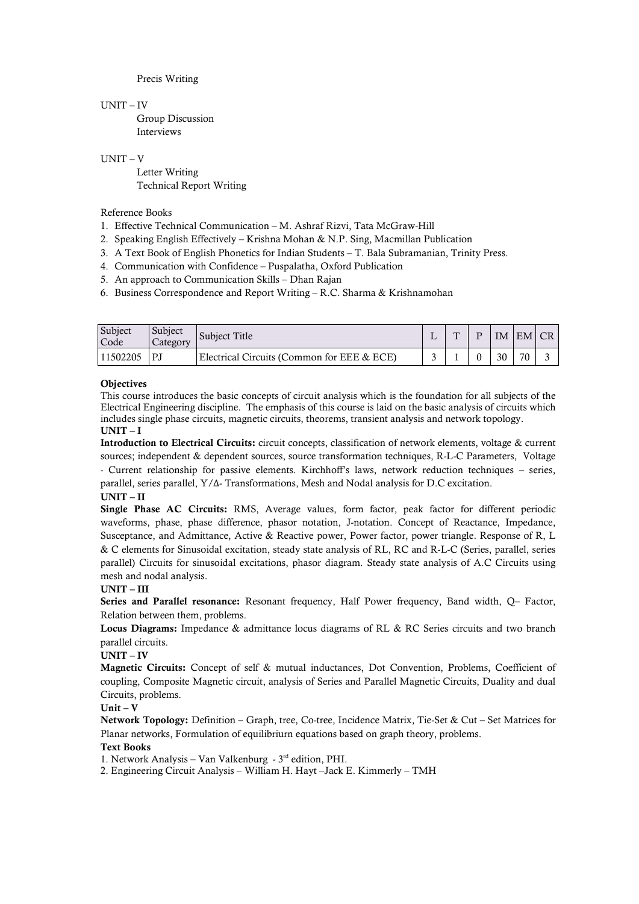Precis Writing

#### UNIT – IV

Group Discussion Interviews

#### UNIT – V

Letter Writing Technical Report Writing

#### Reference Books

- 1. Effective Technical Communication M. Ashraf Rizvi, Tata McGraw-Hill
- 2. Speaking English Effectively Krishna Mohan & N.P. Sing, Macmillan Publication
- 3. A Text Book of English Phonetics for Indian Students T. Bala Subramanian, Trinity Press.
- 4. Communication with Confidence Puspalatha, Oxford Publication
- 5. An approach to Communication Skills Dhan Rajan
- 6. Business Correspondence and Report Writing R.C. Sharma & Krishnamohan

| Subject<br>Code | Subject<br>Category | Subject Title                                | m | IM | EM CR |  |
|-----------------|---------------------|----------------------------------------------|---|----|-------|--|
| 11502205        | PJ                  | Electrical Circuits (Common for EEE $&$ ECE) |   | 30 | 70    |  |

### **Objectives**

This course introduces the basic concepts of circuit analysis which is the foundation for all subjects of the Electrical Engineering discipline. The emphasis of this course is laid on the basic analysis of circuits which includes single phase circuits, magnetic circuits, theorems, transient analysis and network topology. **UNIT – I**

**Introduction to Electrical Circuits:** circuit concepts, classification of network elements, voltage & current sources; independent & dependent sources, source transformation techniques, R-L-C Parameters, Voltage - Current relationship for passive elements. Kirchhoff's laws, network reduction techniques – series, parallel, series parallel, Y/Δ- Transformations, Mesh and Nodal analysis for D.C excitation.

### **UNIT – II**

**Single Phase AC Circuits:** RMS, Average values, form factor, peak factor for different periodic waveforms, phase, phase difference, phasor notation, J-notation. Concept of Reactance, Impedance, Susceptance, and Admittance, Active & Reactive power, Power factor, power triangle. Response of R, L & C elements for Sinusoidal excitation, steady state analysis of RL, RC and R-L-C (Series, parallel, series parallel) Circuits for sinusoidal excitations, phasor diagram. Steady state analysis of A.C Circuits using mesh and nodal analysis.

### **UNIT – III**

**Series and Parallel resonance:** Resonant frequency, Half Power frequency, Band width, Q– Factor, Relation between them, problems.

**Locus Diagrams:** Impedance & admittance locus diagrams of RL & RC Series circuits and two branch parallel circuits.

### **UNIT – IV**

**Magnetic Circuits:** Concept of self & mutual inductances, Dot Convention, Problems, Coefficient of coupling, Composite Magnetic circuit, analysis of Series and Parallel Magnetic Circuits, Duality and dual Circuits, problems.

### **Unit – V**

**Network Topology:** Definition – Graph, tree, Co-tree, Incidence Matrix, Tie-Set & Cut – Set Matrices for Planar networks, Formulation of equilibriurn equations based on graph theory, problems.

### **Text Books**

1. Network Analysis – Van Valkenburg - 3rd edition, PHI.

2. Engineering Circuit Analysis – William H. Hayt –Jack E. Kimmerly – TMH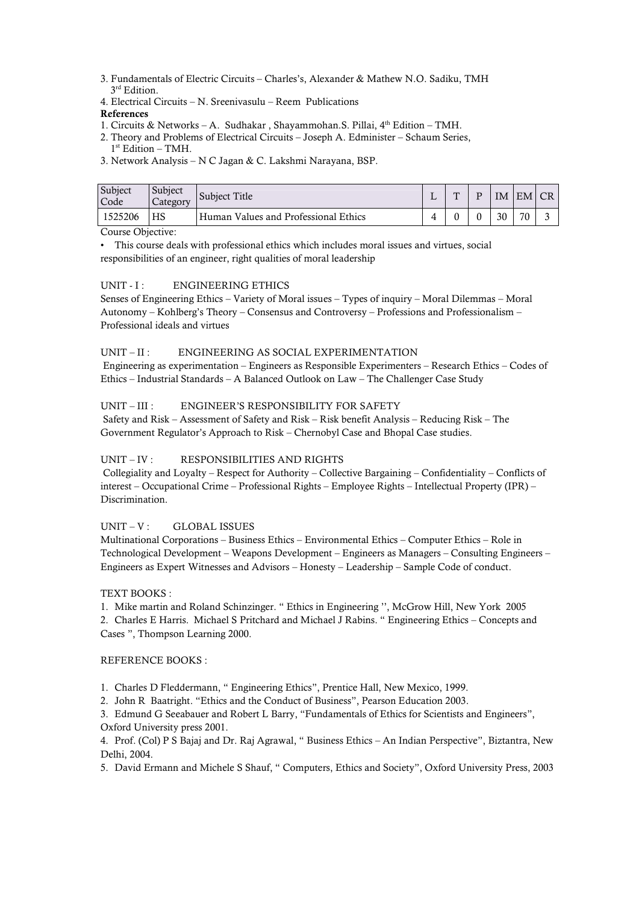- 3. Fundamentals of Electric Circuits Charles's, Alexander & Mathew N.O. Sadiku, TMH 3<sup>rd</sup> Edition.
- 4. Electrical Circuits N. Sreenivasulu Reem Publications

### **References**

1. Circuits & Networks – A. Sudhakar, Shayammohan.S. Pillai, 4<sup>th</sup> Edition – TMH.

2. Theory and Problems of Electrical Circuits – Joseph A. Edminister – Schaum Series,  $1<sup>st</sup>$  Edition – TMH.

3. Network Analysis – N C Jagan & C. Lakshmi Narayana, BSP.

| Subject<br>Code                    | Subject<br>Category | Subject Title                        | $\mathbf{m}$ | IΜ | EM CR |  |
|------------------------------------|---------------------|--------------------------------------|--------------|----|-------|--|
| 1525206                            | HS                  | Human Values and Professional Ethics |              | 30 | 70    |  |
| $\sim$ $\sim$ $\sim$<br>$\sqrt{2}$ |                     |                                      |              |    |       |  |

Course Objective:

• This course deals with professional ethics which includes moral issues and virtues, social responsibilities of an engineer, right qualities of moral leadership

### UNIT - I : ENGINEERING ETHICS

Senses of Engineering Ethics – Variety of Moral issues – Types of inquiry – Moral Dilemmas – Moral Autonomy – Kohlberg's Theory – Consensus and Controversy – Professions and Professionalism – Professional ideals and virtues

### UNIT – II : ENGINEERING AS SOCIAL EXPERIMENTATION

Engineering as experimentation – Engineers as Responsible Experimenters – Research Ethics – Codes of Ethics – Industrial Standards – A Balanced Outlook on Law – The Challenger Case Study

### UNIT – III : ENGINEER'S RESPONSIBILITY FOR SAFETY

Safety and Risk – Assessment of Safety and Risk – Risk benefit Analysis – Reducing Risk – The Government Regulator's Approach to Risk – Chernobyl Case and Bhopal Case studies.

### UNIT – IV : RESPONSIBILITIES AND RIGHTS

Collegiality and Loyalty – Respect for Authority – Collective Bargaining – Confidentiality – Conflicts of interest – Occupational Crime – Professional Rights – Employee Rights – Intellectual Property (IPR) – Discrimination.

### $UNIT - V:$  GLOBAL ISSUES

Multinational Corporations – Business Ethics – Environmental Ethics – Computer Ethics – Role in Technological Development – Weapons Development – Engineers as Managers – Consulting Engineers – Engineers as Expert Witnesses and Advisors – Honesty – Leadership – Sample Code of conduct.

### TEXT BOOKS :

1. Mike martin and Roland Schinzinger. " Ethics in Engineering '', McGrow Hill, New York 2005

2. Charles E Harris. Michael S Pritchard and Michael J Rabins. " Engineering Ethics – Concepts and Cases ", Thompson Learning 2000.

### REFERENCE BOOKS :

- 1. Charles D Fleddermann, " Engineering Ethics", Prentice Hall, New Mexico, 1999.
- 2. John R Baatright. "Ethics and the Conduct of Business", Pearson Education 2003.

3. Edmund G Seeabauer and Robert L Barry, "Fundamentals of Ethics for Scientists and Engineers", Oxford University press 2001.

4. Prof. (Col) P S Bajaj and Dr. Raj Agrawal, " Business Ethics – An Indian Perspective", Biztantra, New Delhi, 2004.

5. David Ermann and Michele S Shauf, " Computers, Ethics and Society", Oxford University Press, 2003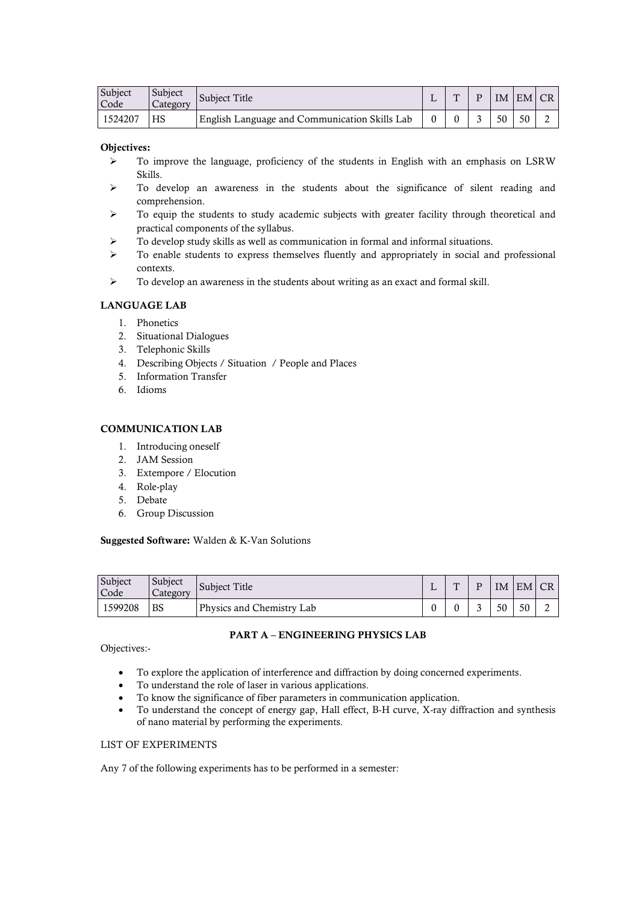| Subject<br>Code | Subject<br>Category | Subject Title                                 | m | IM | EM CR |  |
|-----------------|---------------------|-----------------------------------------------|---|----|-------|--|
| 1524207         | НS                  | English Language and Communication Skills Lab |   | 50 | 50    |  |

#### **Objectives:**

- $\triangleright$  To improve the language, proficiency of the students in English with an emphasis on LSRW Skills.
- $\triangleright$  To develop an awareness in the students about the significance of silent reading and comprehension.
- $\triangleright$  To equip the students to study academic subjects with greater facility through theoretical and practical components of the syllabus.
- To develop study skills as well as communication in formal and informal situations.
- $\triangleright$  To enable students to express themselves fluently and appropriately in social and professional contexts.
- $\triangleright$  To develop an awareness in the students about writing as an exact and formal skill.

### **LANGUAGE LAB**

- 1. Phonetics
- 2. Situational Dialogues
- 3. Telephonic Skills
- 4. Describing Objects / Situation / People and Places
- 5. Information Transfer
- 6. Idioms

#### **COMMUNICATION LAB**

- 1. Introducing oneself
- 2. JAM Session
- 3. Extempore / Elocution
- 4. Role-play
- 5. Debate
- 6. Group Discussion

#### **Suggested Software:** Walden & K-Van Solutions

| Subject<br>Code | Subject<br>Category | Subject Title             | $\mathbf{m}$ | D | IM | EM CR |  |
|-----------------|---------------------|---------------------------|--------------|---|----|-------|--|
| 1599208         | <b>BS</b>           | Physics and Chemistry Lab |              |   | 50 | 50    |  |

#### **PART A – ENGINEERING PHYSICS LAB**

Objectives:-

- To explore the application of interference and diffraction by doing concerned experiments.
- To understand the role of laser in various applications.
- To know the significance of fiber parameters in communication application.
- To understand the concept of energy gap, Hall effect, B-H curve, X-ray diffraction and synthesis of nano material by performing the experiments.

### LIST OF EXPERIMENTS

Any 7 of the following experiments has to be performed in a semester: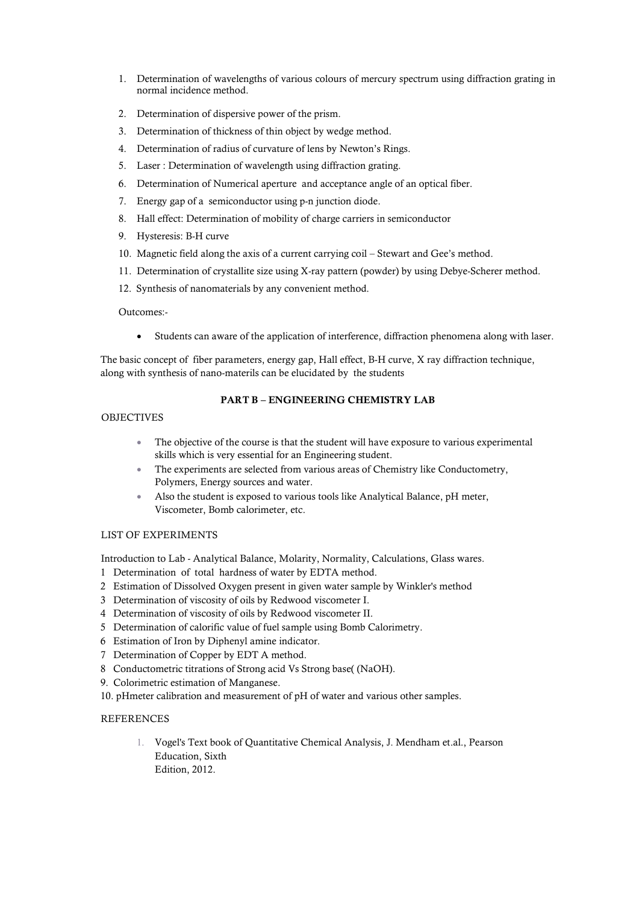- 1. Determination of wavelengths of various colours of mercury spectrum using diffraction grating in normal incidence method.
- 2. Determination of dispersive power of the prism.
- 3. Determination of thickness of thin object by wedge method.
- 4. Determination of radius of curvature of lens by Newton's Rings.
- 5. Laser : Determination of wavelength using diffraction grating.
- 6. Determination of Numerical aperture and acceptance angle of an optical fiber.
- 7. Energy gap of a semiconductor using p-n junction diode.
- 8. Hall effect: Determination of mobility of charge carriers in semiconductor
- 9. Hysteresis: B-H curve
- 10. Magnetic field along the axis of a current carrying coil Stewart and Gee's method.
- 11. Determination of crystallite size using X-ray pattern (powder) by using Debye-Scherer method.
- 12. Synthesis of nanomaterials by any convenient method.

### Outcomes:-

Students can aware of the application of interference, diffraction phenomena along with laser.

The basic concept of fiber parameters, energy gap, Hall effect, B-H curve, X ray diffraction technique, along with synthesis of nano-materils can be elucidated by the students

### **PART B – ENGINEERING CHEMISTRY LAB**

### **OBJECTIVES**

- The objective of the course is that the student will have exposure to various experimental skills which is very essential for an Engineering student.
- The experiments are selected from various areas of Chemistry like Conductometry, Polymers, Energy sources and water.
- Also the student is exposed to various tools like Analytical Balance, pH meter, Viscometer, Bomb calorimeter, etc.

### LIST OF EXPERIMENTS

Introduction to Lab - Analytical Balance, Molarity, Normality, Calculations, Glass wares.

- 1 Determination of total hardness of water by EDTA method.
- 2 Estimation of Dissolved Oxygen present in given water sample by Winkler's method
- 3 Determination of viscosity of oils by Redwood viscometer I.
- 4 Determination of viscosity of oils by Redwood viscometer II.
- 5 Determination of calorific value of fuel sample using Bomb Calorimetry.
- 6 Estimation of Iron by Diphenyl amine indicator.
- 7 Determination of Copper by EDT A method.
- 8 Conductometric titrations of Strong acid Vs Strong base( (NaOH).
- 9. Colorimetric estimation of Manganese.

10. pHmeter calibration and measurement of pH of water and various other samples.

### REFERENCES

1. Vogel's Text book of Quantitative Chemical Analysis, J. Mendham et.al., Pearson Education, Sixth Edition, 2012.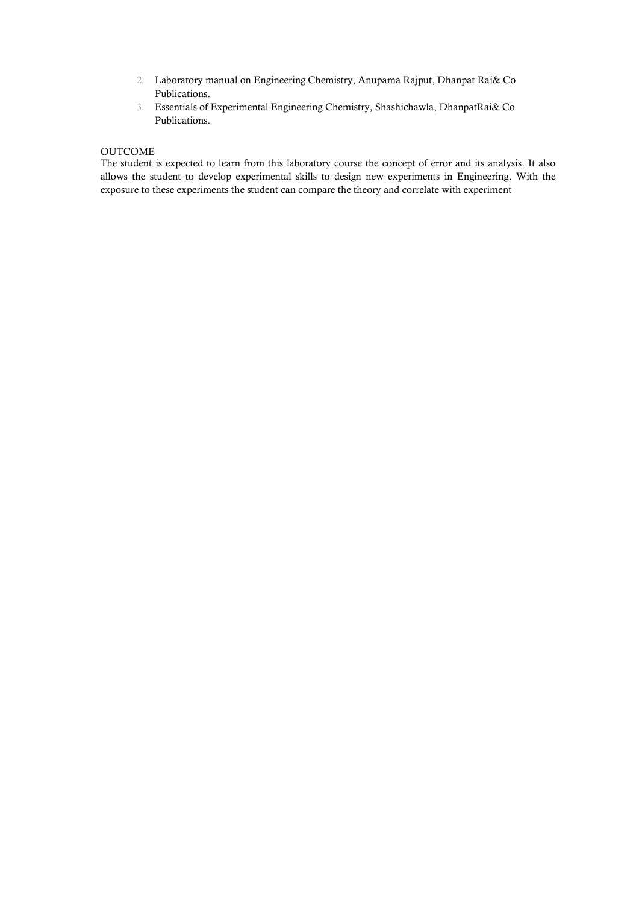- 2. Laboratory manual on Engineering Chemistry, Anupama Rajput, Dhanpat Rai& Co Publications.
- 3. Essentials of Experimental Engineering Chemistry, Shashichawla, DhanpatRai& Co Publications.

### OUTCOME

The student is expected to learn from this laboratory course the concept of error and its analysis. It also allows the student to develop experimental skills to design new experiments in Engineering. With the exposure to these experiments the student can compare the theory and correlate with experiment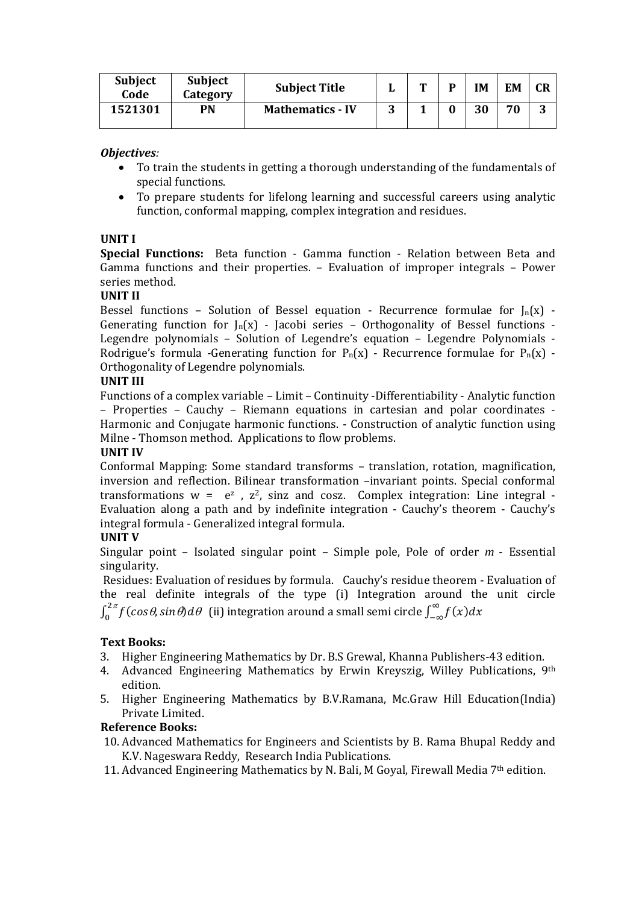| <b>Subject</b><br>Code | <b>Subject</b><br>Category | <b>Subject Title</b>    |        | m | D | <b>IM</b> | EM | CR |
|------------------------|----------------------------|-------------------------|--------|---|---|-----------|----|----|
| 1521301                | PN                         | <b>Mathematics - IV</b> | ີ<br>J |   |   | 30        | 70 | 3  |

### *Objectives:*

- To train the students in getting a thorough understanding of the fundamentals of special functions.
- To prepare students for lifelong learning and successful careers using analytic function, conformal mapping, complex integration and residues.

### **UNIT I**

**Special Functions:** Beta function - Gamma function - Relation between Beta and Gamma functions and their properties. – Evaluation of improper integrals – Power series method.

### **UNIT II**

Bessel functions - Solution of Bessel equation - Recurrence formulae for  $J_n(x)$  -Generating function for  $J_n(x)$  - Jacobi series – Orthogonality of Bessel functions -Legendre polynomials – Solution of Legendre's equation – Legendre Polynomials - Rodrigue's formula -Generating function for  $P_n(x)$  - Recurrence formulae for  $P_n(x)$  -Orthogonality of Legendre polynomials.

### **UNIT III**

Functions of a complex variable – Limit – Continuity -Differentiability - Analytic function – Properties – Cauchy – Riemann equations in cartesian and polar coordinates - Harmonic and Conjugate harmonic functions. - Construction of analytic function using Milne - Thomson method. Applications to flow problems.

### **UNIT IV**

Conformal Mapping: Some standard transforms – translation, rotation, magnification, inversion and reflection. Bilinear transformation –invariant points. Special conformal transformations  $w = e^z$ ,  $z^2$ , sinz and cosz. Complex integration: Line integral -Evaluation along a path and by indefinite integration - Cauchy's theorem - Cauchy's integral formula - Generalized integral formula.

### **UNIT V**

Singular point – Isolated singular point – Simple pole, Pole of order *m* - Essential singularity.

Residues: Evaluation of residues by formula. Cauchy's residue theorem - Evaluation of the real definite integrals of the type (i) Integration around the unit circle  $\int_0^{2\pi} f(cos\theta, sin\theta) d\theta$  (ii) integration around a small semi circle  $\int_{-\infty}^{\infty} f(x) dx$ 

### **Text Books:**

- 3. Higher Engineering Mathematics by Dr. B.S Grewal, Khanna Publishers-43 edition.
- 4. Advanced Engineering Mathematics by Erwin Kreyszig, Willey Publications, 9th edition.
- 5. Higher Engineering Mathematics by B.V.Ramana, Mc.Graw Hill Education(India) Private Limited.

### **Reference Books:**

- 10. Advanced Mathematics for Engineers and Scientists by B. Rama Bhupal Reddy and K.V. Nageswara Reddy, Research India Publications.
- 11. Advanced Engineering Mathematics by N. Bali, M Goyal, Firewall Media 7<sup>th</sup> edition.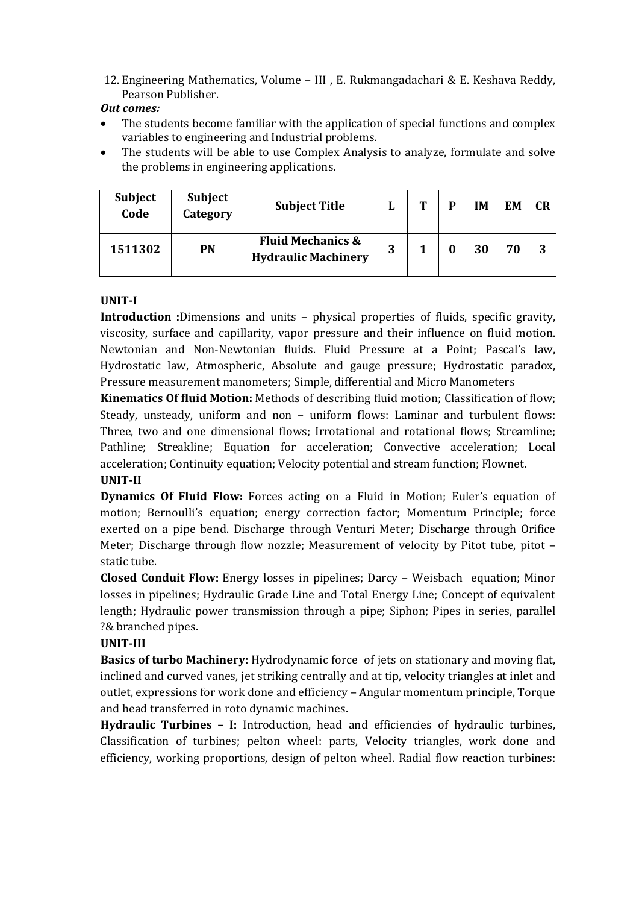12. Engineering Mathematics, Volume – III , E. Rukmangadachari & E. Keshava Reddy, Pearson Publisher.

### *Out comes:*

- The students become familiar with the application of special functions and complex variables to engineering and Industrial problems.
- The students will be able to use Complex Analysis to analyze, formulate and solve the problems in engineering applications.

| <b>Subject</b><br>Code | <b>Subject</b><br>Category | <b>Subject Title</b>                                       |   | m | D | IM | EM | <b>CR</b> |
|------------------------|----------------------------|------------------------------------------------------------|---|---|---|----|----|-----------|
| 1511302                | PN                         | <b>Fluid Mechanics &amp;</b><br><b>Hydraulic Machinery</b> | 3 |   | 0 | 30 | 70 | 3         |

## **UNIT-I**

**Introduction :**Dimensions and units – physical properties of fluids, specific gravity, viscosity, surface and capillarity, vapor pressure and their influence on fluid motion. Newtonian and Non-Newtonian fluids. Fluid Pressure at a Point; Pascal's law, Hydrostatic law, Atmospheric, Absolute and gauge pressure; Hydrostatic paradox, Pressure measurement manometers; Simple, differential and Micro Manometers

**Kinematics Of fluid Motion:** Methods of describing fluid motion; Classification of flow; Steady, unsteady, uniform and non – uniform flows: Laminar and turbulent flows: Three, two and one dimensional flows; Irrotational and rotational flows; Streamline; Pathline; Streakline; Equation for acceleration; Convective acceleration; Local acceleration; Continuity equation; Velocity potential and stream function; Flownet.

### **UNIT-II**

**Dynamics Of Fluid Flow:** Forces acting on a Fluid in Motion; Euler's equation of motion; Bernoulli's equation; energy correction factor; Momentum Principle; force exerted on a pipe bend. Discharge through Venturi Meter; Discharge through Orifice Meter; Discharge through flow nozzle; Measurement of velocity by Pitot tube, pitot – static tube.

**Closed Conduit Flow:** Energy losses in pipelines; Darcy – Weisbach equation; Minor losses in pipelines; Hydraulic Grade Line and Total Energy Line; Concept of equivalent length; Hydraulic power transmission through a pipe; Siphon; Pipes in series, parallel ?& branched pipes.

### **UNIT-III**

**Basics of turbo Machinery:** Hydrodynamic force of jets on stationary and moving flat, inclined and curved vanes, jet striking centrally and at tip, velocity triangles at inlet and outlet, expressions for work done and efficiency – Angular momentum principle, Torque and head transferred in roto dynamic machines.

**Hydraulic Turbines – I:** Introduction, head and efficiencies of hydraulic turbines, Classification of turbines; pelton wheel: parts, Velocity triangles, work done and efficiency, working proportions, design of pelton wheel. Radial flow reaction turbines: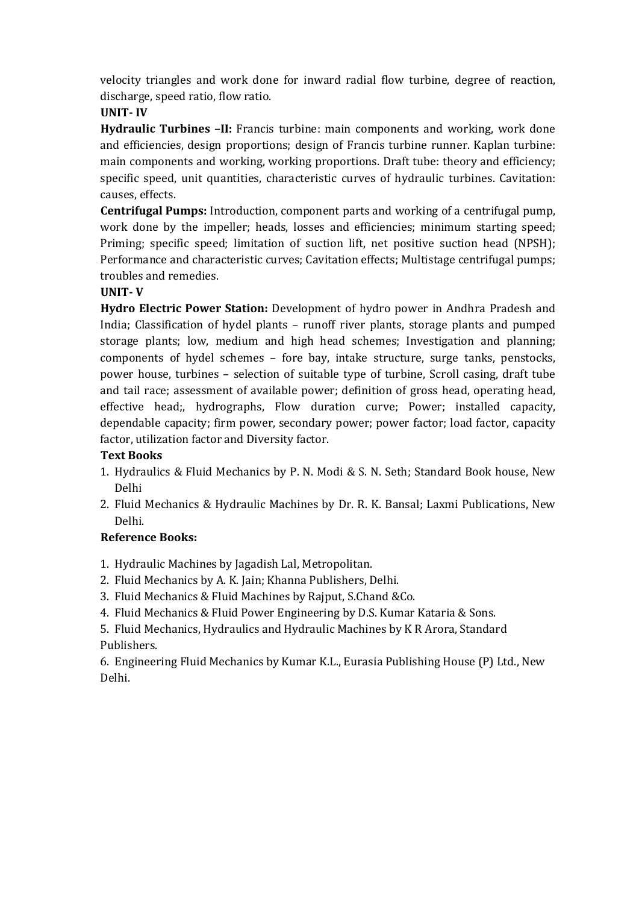velocity triangles and work done for inward radial flow turbine, degree of reaction, discharge, speed ratio, flow ratio.

## **UNIT- IV**

**Hydraulic Turbines -II:** Francis turbine: main components and working, work done and efficiencies, design proportions; design of Francis turbine runner. Kaplan turbine: main components and working, working proportions. Draft tube: theory and efficiency; specific speed, unit quantities, characteristic curves of hydraulic turbines. Cavitation: causes, effects.

**Centrifugal Pumps:** Introduction, component parts and working of a centrifugal pump, work done by the impeller; heads, losses and efficiencies; minimum starting speed; Priming; specific speed; limitation of suction lift, net positive suction head (NPSH); Performance and characteristic curves; Cavitation effects; Multistage centrifugal pumps; troubles and remedies.

## **UNIT- V**

**Hydro Electric Power Station:** Development of hydro power in Andhra Pradesh and India; Classification of hydel plants – runoff river plants, storage plants and pumped storage plants; low, medium and high head schemes; Investigation and planning; components of hydel schemes – fore bay, intake structure, surge tanks, penstocks, power house, turbines – selection of suitable type of turbine, Scroll casing, draft tube and tail race; assessment of available power; definition of gross head, operating head, effective head;, hydrographs, Flow duration curve; Power; installed capacity, dependable capacity; firm power, secondary power; power factor; load factor, capacity factor, utilization factor and Diversity factor.

## **Text Books**

- 1. Hydraulics & Fluid Mechanics by P. N. Modi & S. N. Seth; Standard Book house, New Delhi
- 2. Fluid Mechanics & Hydraulic Machines by Dr. R. K. Bansal; Laxmi Publications, New Delhi.

## **Reference Books:**

- 1. Hydraulic Machines by Jagadish Lal, Metropolitan.
- 2. Fluid Mechanics by A. K. Jain; Khanna Publishers, Delhi.
- 3. Fluid Mechanics & Fluid Machines by Rajput, S.Chand &Co.
- 4. Fluid Mechanics & Fluid Power Engineering by D.S. Kumar Kataria & Sons.

5. Fluid Mechanics, Hydraulics and Hydraulic Machines by K R Arora, Standard Publishers.

6. Engineering Fluid Mechanics by Kumar K.L., Eurasia Publishing House (P) Ltd., New Delhi.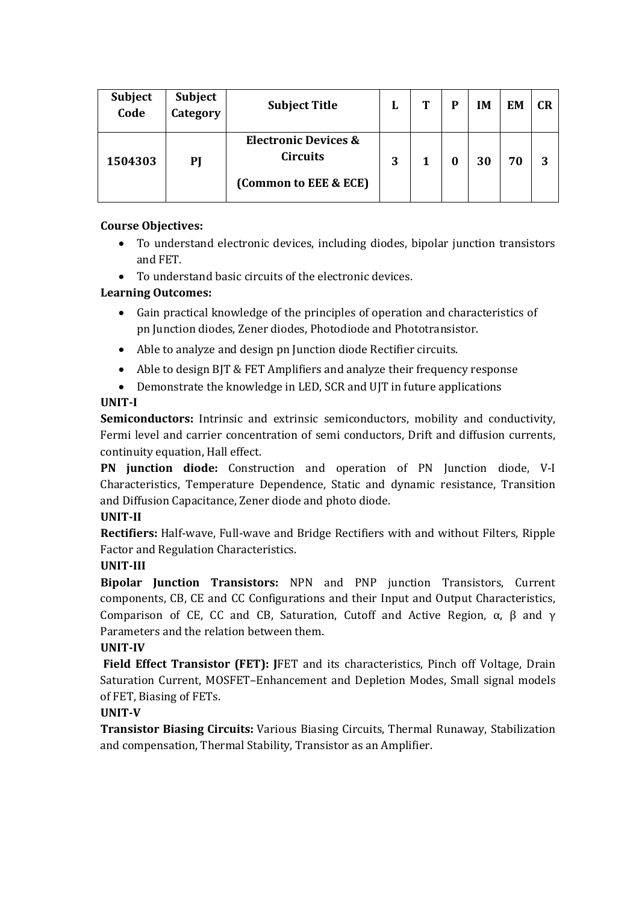| <b>Subject</b><br>Code | Subject<br>Category | <b>Subject Title</b>                                             | L | m | IM | EM | <b>CR</b> |
|------------------------|---------------------|------------------------------------------------------------------|---|---|----|----|-----------|
| 1504303                | PI                  | Electronic Devices &<br><b>Circuits</b><br>(Common to EEE & ECE) | 3 |   | 30 | 70 | 3         |

## **Course Objectives:**

- To understand electronic devices, including diodes, bipolar junction transistors and FET.
- To understand basic circuits of the electronic devices.

## **Learning Outcomes:**

- Gain practical knowledge of the principles of operation and characteristics of pn Junction diodes, Zener diodes, Photodiode and Phototransistor.
- Able to analyze and design pn Junction diode Rectifier circuits.
- Able to design BJT & FET Amplifiers and analyze their frequency response
- Demonstrate the knowledge in LED, SCR and UJT in future applications

## **UNIT-I**

**Semiconductors:** Intrinsic and extrinsic semiconductors, mobility and conductivity, Fermi level and carrier concentration of semi conductors, Drift and diffusion currents, continuity equation, Hall effect.

**PN junction diode:** Construction and operation of PN Junction diode, V-I Characteristics, Temperature Dependence, Static and dynamic resistance, Transition and Diffusion Capacitance, Zener diode and photo diode.

## **UNIT-II**

**Rectifiers:** Half-wave, Full-wave and Bridge Rectifiers with and without Filters, Ripple Factor and Regulation Characteristics.

## **UNIT-III**

**Bipolar Junction Transistors:** NPN and PNP junction Transistors, Current components, CB, CE and CC Configurations and their Input and Output Characteristics, Comparison of CE, CC and CB, Saturation, Cutoff and Active Region,  $\alpha$ , β and γ Parameters and the relation between them.

## **UNIT-IV**

**Field Effect Transistor (FET): J**FET and its characteristics, Pinch off Voltage, Drain Saturation Current, MOSFET–Enhancement and Depletion Modes, Small signal models of FET, Biasing of FETs.

## **UNIT-V**

**Transistor Biasing Circuits:** Various Biasing Circuits, Thermal Runaway, Stabilization and compensation, Thermal Stability, Transistor as an Amplifier.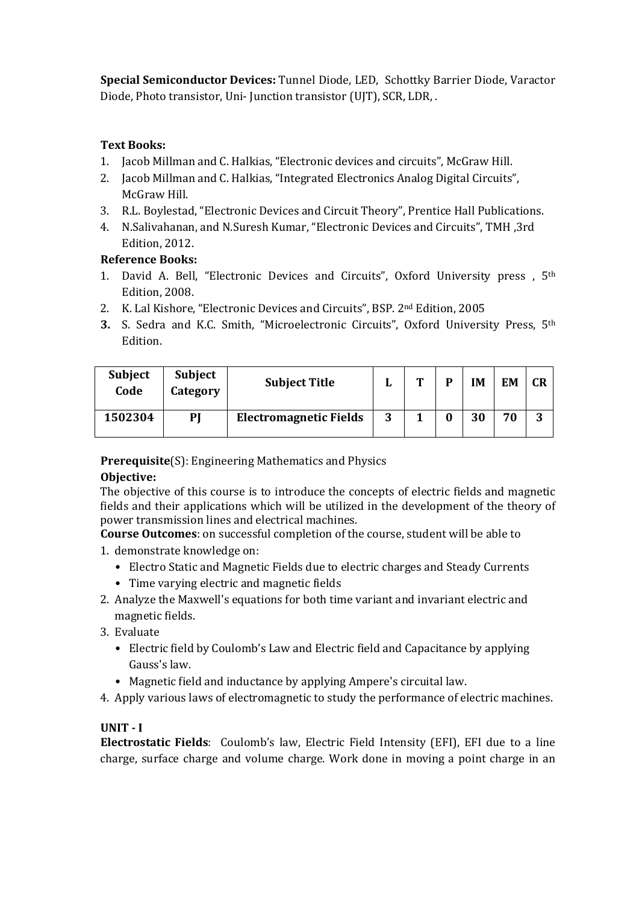**Special Semiconductor Devices:** Tunnel Diode, LED, Schottky Barrier Diode, Varactor Diode, Photo transistor, Uni- Junction transistor (UJT), SCR, LDR, .

### **Text Books:**

- 1. Jacob Millman and C. Halkias, "Electronic devices and circuits", McGraw Hill.
- 2. Jacob Millman and C. Halkias, "Integrated Electronics Analog Digital Circuits", McGraw Hill.
- 3. R.L. Boylestad, "Electronic Devices and Circuit Theory", Prentice Hall Publications.
- 4. N.Salivahanan, and N.Suresh Kumar, "Electronic Devices and Circuits", TMH ,3rd Edition, 2012.

### **Reference Books:**

- 1. David A. Bell, "Electronic Devices and Circuits", Oxford University press , 5th Edition, 2008.
- 2. K. Lal Kishore, "Electronic Devices and Circuits", BSP. 2nd Edition, 2005
- **3.** S. Sedra and K.C. Smith, "Microelectronic Circuits", Oxford University Press, 5th Edition.

| <b>Subject</b><br>Code | <b>Subject</b><br>Category | <b>Subject Title</b>          |   | m | D | IM | EM | <b>CR</b> |
|------------------------|----------------------------|-------------------------------|---|---|---|----|----|-----------|
| 1502304                | PI                         | <b>Electromagnetic Fields</b> | 3 |   | 0 | 30 | 70 | ึ<br>J    |

**Prerequisite**(S): Engineering Mathematics and Physics

### **Objective:**

The objective of this course is to introduce the concepts of electric fields and magnetic fields and their applications which will be utilized in the development of the theory of power transmission lines and electrical machines.

**Course Outcomes**: on successful completion of the course, student will be able to

- 1. demonstrate knowledge on:
	- Electro Static and Magnetic Fields due to electric charges and Steady Currents
	- Time varying electric and magnetic fields
- 2. Analyze the Maxwell's equations for both time variant and invariant electric and magnetic fields.
- 3. Evaluate
	- Electric field by Coulomb's Law and Electric field and Capacitance by applying Gauss's law.
	- Magnetic field and inductance by applying Ampere's circuital law.
- 4. Apply various laws of electromagnetic to study the performance of electric machines.

## **UNIT - I**

**Electrostatic Fields**: Coulomb's law, Electric Field Intensity (EFI), EFI due to a line charge, surface charge and volume charge. Work done in moving a point charge in an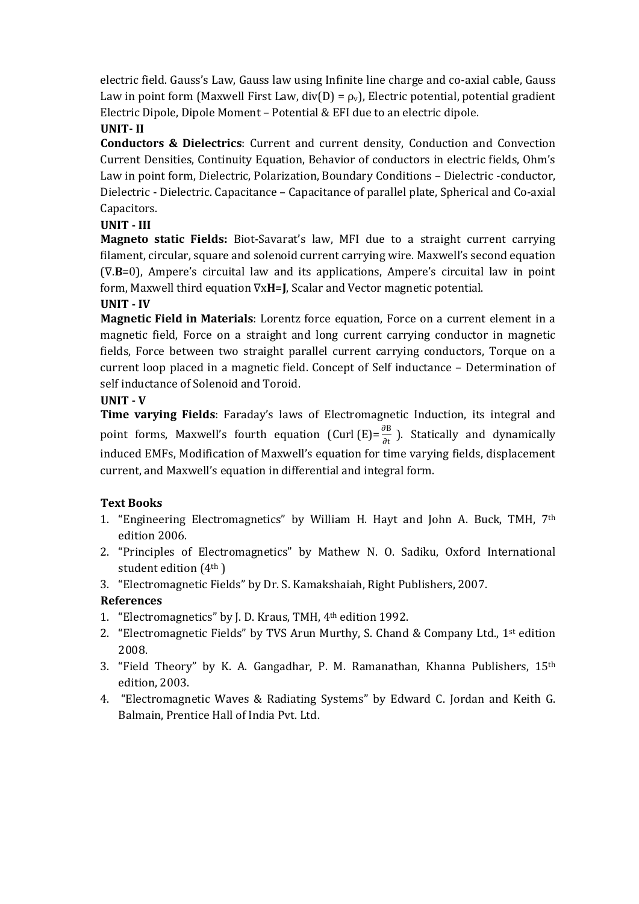electric field. Gauss's Law, Gauss law using Infinite line charge and co-axial cable, Gauss Law in point form (Maxwell First Law,  $div(D) = \rho_v$ ), Electric potential, potential gradient Electric Dipole, Dipole Moment – Potential & EFI due to an electric dipole.

## **UNIT- II**

**Conductors & Dielectrics**: Current and current density, Conduction and Convection Current Densities, Continuity Equation, Behavior of conductors in electric fields, Ohm's Law in point form, Dielectric, Polarization, Boundary Conditions – Dielectric -conductor, Dielectric - Dielectric. Capacitance – Capacitance of parallel plate, Spherical and Co-axial Capacitors.

## **UNIT - III**

**Magneto static Fields:** Biot-Savarat's law, MFI due to a straight current carrying filament, circular, square and solenoid current carrying wire. Maxwell's second equation (∇.**B**=0), Ampere's circuital law and its applications, Ampere's circuital law in point form, Maxwell third equation ∇x**H**=**J**, Scalar and Vector magnetic potential.

## **UNIT - IV**

**Magnetic Field in Materials**: Lorentz force equation, Force on a current element in a magnetic field, Force on a straight and long current carrying conductor in magnetic fields, Force between two straight parallel current carrying conductors, Torque on a current loop placed in a magnetic field. Concept of Self inductance – Determination of self inductance of Solenoid and Toroid.

## **UNIT - V**

**Time varying Fields**: Faraday's laws of Electromagnetic Induction, its integral and point forms, Maxwell's fourth equation (Curl  $(E) = \frac{\partial B}{\partial t}$ ). Statically and dynamically induced EMFs, Modification of Maxwell's equation for time varying fields, displacement current, and Maxwell's equation in differential and integral form.

## **Text Books**

- 1. "Engineering Electromagnetics" by William H. Hayt and John A. Buck, TMH, 7th edition 2006.
- 2. "Principles of Electromagnetics" by Mathew N. O. Sadiku, Oxford International student edition (4th )
- 3. "Electromagnetic Fields" by Dr. S. Kamakshaiah, Right Publishers, 2007.

## **References**

- 1. "Electromagnetics" by J. D. Kraus, TMH, 4th edition 1992.
- 2. "Electromagnetic Fields" by TVS Arun Murthy, S. Chand & Company Ltd., 1st edition 2008.
- 3. "Field Theory" by K. A. Gangadhar, P. M. Ramanathan, Khanna Publishers, 15th edition, 2003.
- 4. "Electromagnetic Waves & Radiating Systems" by Edward C. Jordan and Keith G. Balmain, Prentice Hall of India Pvt. Ltd.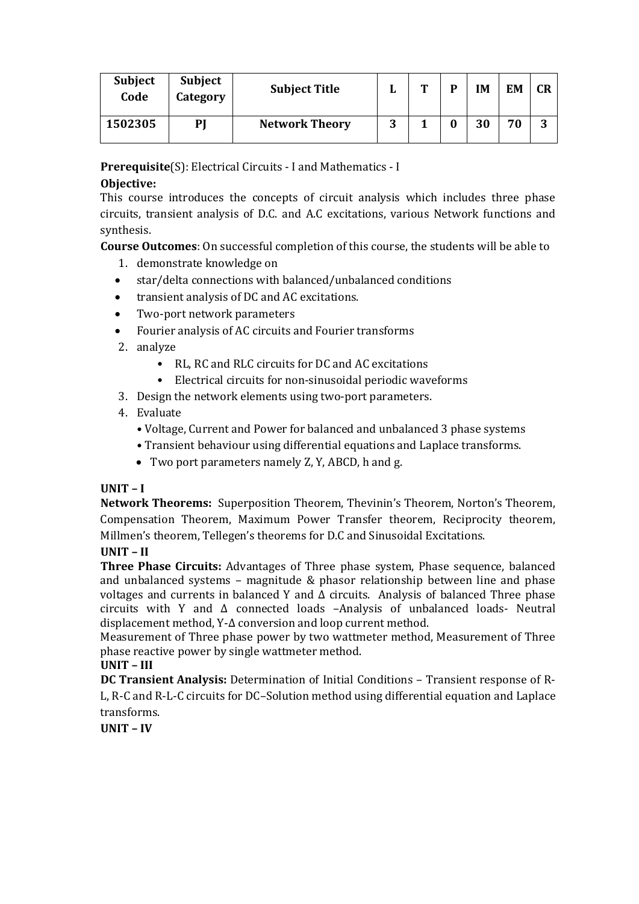| <b>Subject</b><br>Code | <b>Subject</b><br>Category | <b>Subject Title</b>  |        | m | D | IΜ | EM | <b>CR</b> |
|------------------------|----------------------------|-----------------------|--------|---|---|----|----|-----------|
| 1502305                | PJ                         | <b>Network Theory</b> | 2<br>J |   |   | 30 | 70 | 3         |

**Prerequisite**(S): Electrical Circuits - I and Mathematics - I

## **Objective:**

This course introduces the concepts of circuit analysis which includes three phase circuits, transient analysis of D.C. and A.C excitations, various Network functions and synthesis.

**Course Outcomes**: On successful completion of this course, the students will be able to

- 1. demonstrate knowledge on
- star/delta connections with balanced/unbalanced conditions
- transient analysis of DC and AC excitations.
- Two-port network parameters
- Fourier analysis of AC circuits and Fourier transforms
- 2. analyze
	- RL, RC and RLC circuits for DC and AC excitations
	- Electrical circuits for non-sinusoidal periodic waveforms
- 3. Design the network elements using two-port parameters.

## 4. Evaluate

- Voltage, Current and Power for balanced and unbalanced 3 phase systems
- Transient behaviour using differential equations and Laplace transforms.
- Two port parameters namely Z, Y, ABCD, h and g.

## **UNIT – I**

**Network Theorems:** Superposition Theorem, Thevinin's Theorem, Norton's Theorem, Compensation Theorem, Maximum Power Transfer theorem, Reciprocity theorem, Millmen's theorem, Tellegen's theorems for D.C and Sinusoidal Excitations.

## **UNIT – II**

**Three Phase Circuits:** Advantages of Three phase system, Phase sequence, balanced and unbalanced systems – magnitude & phasor relationship between line and phase voltages and currents in balanced Y and  $\Delta$  circuits. Analysis of balanced Three phase circuits with Y and Δ connected loads –Analysis of unbalanced loads- Neutral displacement method, Y-Δ conversion and loop current method.

Measurement of Three phase power by two wattmeter method, Measurement of Three phase reactive power by single wattmeter method.

## **UNIT – III**

**DC Transient Analysis:** Determination of Initial Conditions – Transient response of R-L, R-C and R-L-C circuits for DC–Solution method using differential equation and Laplace transforms.

**UNIT – IV**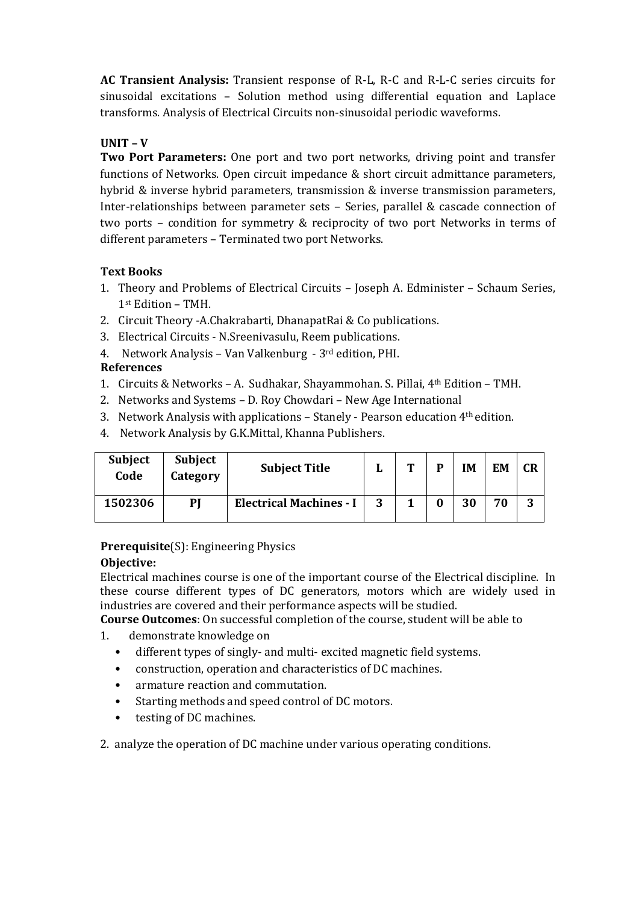**AC Transient Analysis:** Transient response of R-L, R-C and R-L-C series circuits for sinusoidal excitations – Solution method using differential equation and Laplace transforms. Analysis of Electrical Circuits non-sinusoidal periodic waveforms.

## **UNIT – V**

**Two Port Parameters:** One port and two port networks, driving point and transfer functions of Networks. Open circuit impedance & short circuit admittance parameters, hybrid & inverse hybrid parameters, transmission & inverse transmission parameters, Inter-relationships between parameter sets – Series, parallel & cascade connection of two ports – condition for symmetry & reciprocity of two port Networks in terms of different parameters – Terminated two port Networks.

## **Text Books**

- 1. Theory and Problems of Electrical Circuits Joseph A. Edminister Schaum Series, 1st Edition – TMH.
- 2. Circuit Theory -A.Chakrabarti, DhanapatRai & Co publications.
- 3. Electrical Circuits N.Sreenivasulu, Reem publications.
- 4. Network Analysis Van Valkenburg 3rd edition, PHI.

## **References**

- 1. Circuits & Networks A. Sudhakar, Shayammohan. S. Pillai, 4th Edition TMH.
- 2. Networks and Systems D. Roy Chowdari New Age International
- 3. Network Analysis with applications Stanely Pearson education 4th edition.
- 4. Network Analysis by G.K.Mittal, Khanna Publishers.

| <b>Subject</b><br>Code | <b>Subject</b><br>Category | <b>Subject Title</b>           |   | m |   | IM | FМ | <b>CR</b> |
|------------------------|----------------------------|--------------------------------|---|---|---|----|----|-----------|
| 1502306                | PI                         | <b>Electrical Machines - I</b> | 2 |   | 0 | 30 | 70 | ົ<br>J.   |

## **Prerequisite**(S): Engineering Physics

### **Objective:**

Electrical machines course is one of the important course of the Electrical discipline. In these course different types of DC generators, motors which are widely used in industries are covered and their performance aspects will be studied.

**Course Outcomes**: On successful completion of the course, student will be able to

- 1. demonstrate knowledge on
	- different types of singly- and multi- excited magnetic field systems.
	- construction, operation and characteristics of DC machines.
	- armature reaction and commutation.
	- Starting methods and speed control of DC motors.
	- testing of DC machines.

2. analyze the operation of DC machine under various operating conditions.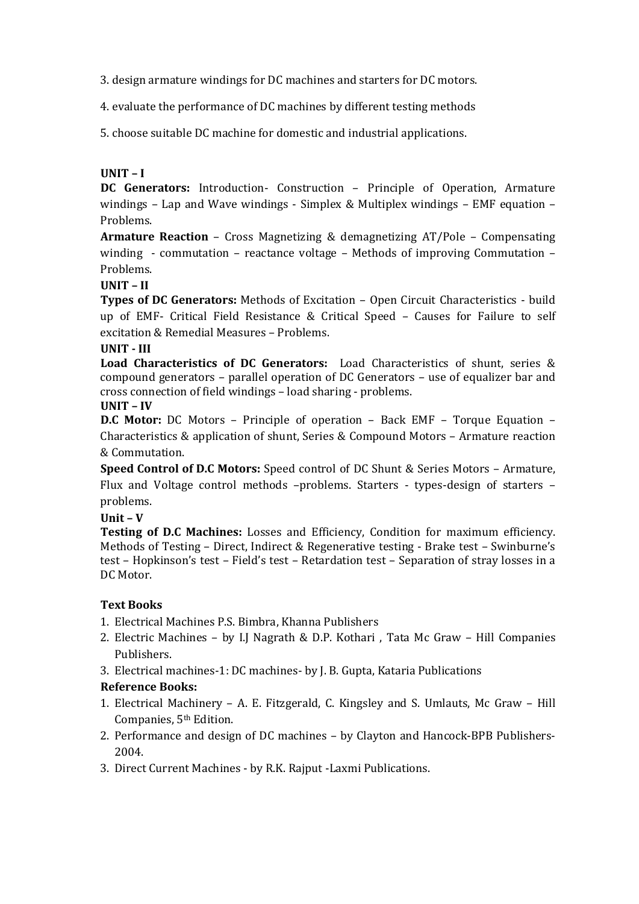3. design armature windings for DC machines and starters for DC motors.

4. evaluate the performance of DC machines by different testing methods

5. choose suitable DC machine for domestic and industrial applications.

### **UNIT – I**

**DC Generators:** Introduction- Construction – Principle of Operation, Armature windings – Lap and Wave windings - Simplex & Multiplex windings – EMF equation – Problems.

**Armature Reaction** – Cross Magnetizing & demagnetizing AT/Pole – Compensating winding - commutation – reactance voltage – Methods of improving Commutation – Problems.

**UNIT – II**

**Types of DC Generators:** Methods of Excitation – Open Circuit Characteristics - build up of EMF- Critical Field Resistance & Critical Speed – Causes for Failure to self excitation & Remedial Measures – Problems.

**UNIT - III**

**Load Characteristics of DC Generators:** Load Characteristics of shunt, series & compound generators – parallel operation of DC Generators – use of equalizer bar and cross connection of field windings – load sharing - problems. **UNIT – IV**

**D.C Motor:** DC Motors – Principle of operation – Back EMF – Torque Equation – Characteristics & application of shunt, Series & Compound Motors – Armature reaction & Commutation.

**Speed Control of D.C Motors:** Speed control of DC Shunt & Series Motors – Armature, Flux and Voltage control methods –problems. Starters - types-design of starters – problems.

**Unit – V**

**Testing of D.C Machines:** Losses and Efficiency, Condition for maximum efficiency. Methods of Testing – Direct, Indirect & Regenerative testing - Brake test – Swinburne's test – Hopkinson's test – Field's test – Retardation test – Separation of stray losses in a DC Motor.

## **Text Books**

- 1. Electrical Machines P.S. Bimbra, Khanna Publishers
- 2. Electric Machines by I.J Nagrath & D.P. Kothari , Tata Mc Graw Hill Companies Publishers.
- 3. Electrical machines-1: DC machines- by J. B. Gupta, Kataria Publications

### **Reference Books:**

- 1. Electrical Machinery A. E. Fitzgerald, C. Kingsley and S. Umlauts, Mc Graw Hill Companies, 5<sup>th</sup> Edition.
- 2. Performance and design of DC machines by Clayton and Hancock-BPB Publishers-2004.
- 3. Direct Current Machines by R.K. Rajput -Laxmi Publications.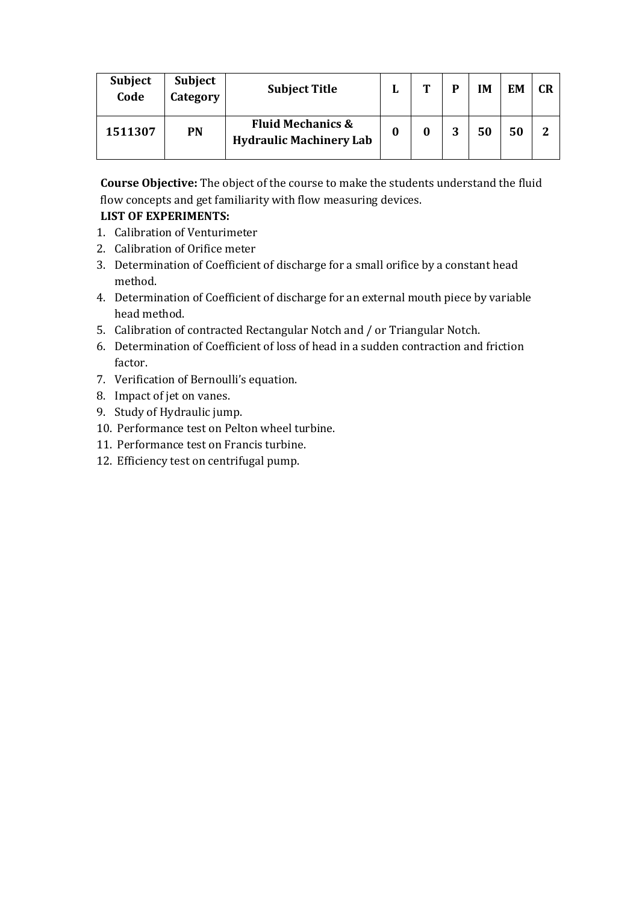| <b>Subject</b><br>Code | <b>Subject</b><br>Category | <b>Subject Title</b>                                           | L | m | D | IΜ | <b>EM</b> | CR |
|------------------------|----------------------------|----------------------------------------------------------------|---|---|---|----|-----------|----|
| 1511307                | <b>PN</b>                  | <b>Fluid Mechanics &amp;</b><br><b>Hydraulic Machinery Lab</b> | 0 |   | 2 | 50 | 50        | 2  |

**Course Objective:** The object of the course to make the students understand the fluid flow concepts and get familiarity with flow measuring devices.

## **LIST OF EXPERIMENTS:**

- 1. Calibration of Venturimeter
- 2. Calibration of Orifice meter
- 3. Determination of Coefficient of discharge for a small orifice by a constant head method.
- 4. Determination of Coefficient of discharge for an external mouth piece by variable head method.
- 5. Calibration of contracted Rectangular Notch and / or Triangular Notch.
- 6. Determination of Coefficient of loss of head in a sudden contraction and friction factor.
- 7. Verification of Bernoulli's equation.
- 8. Impact of jet on vanes.
- 9. Study of Hydraulic jump.
- 10. Performance test on Pelton wheel turbine.
- 11. Performance test on Francis turbine.
- 12. Efficiency test on centrifugal pump.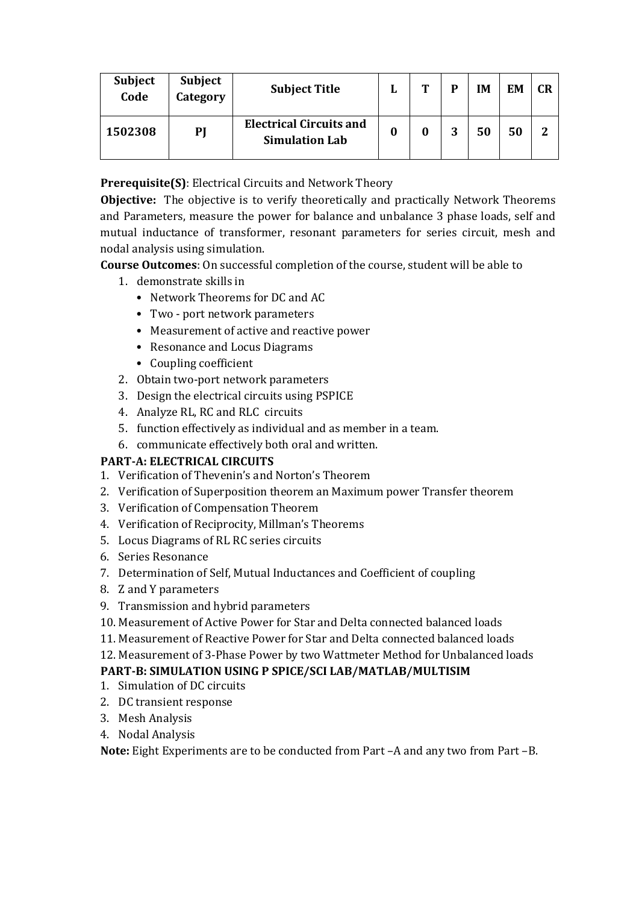| <b>Subject</b><br>Code | <b>Subject</b><br>Category | <b>Subject Title</b>                                    |   | m | P       | IΜ | EM | <b>CR</b> |
|------------------------|----------------------------|---------------------------------------------------------|---|---|---------|----|----|-----------|
| 1502308                | PJ                         | <b>Electrical Circuits and</b><br><b>Simulation Lab</b> | 0 |   | 2<br>IJ | 50 | 50 | 2         |

**Prerequisite(S)**: Electrical Circuits and Network Theory

**Objective:** The objective is to verify theoretically and practically Network Theorems and Parameters, measure the power for balance and unbalance 3 phase loads, self and mutual inductance of transformer, resonant parameters for series circuit, mesh and nodal analysis using simulation.

**Course Outcomes**: On successful completion of the course, student will be able to

- 1. demonstrate skills in
	- Network Theorems for DC and AC
	- Two port network parameters
	- Measurement of active and reactive power
	- Resonance and Locus Diagrams
	- Coupling coefficient
- 2. Obtain two-port network parameters
- 3. Design the electrical circuits using PSPICE
- 4. Analyze RL, RC and RLC circuits
- 5. function effectively as individual and as member in a team.
- 6. communicate effectively both oral and written.

## **PART-A: ELECTRICAL CIRCUITS**

- 1. Verification of Thevenin's and Norton's Theorem
- 2. Verification of Superposition theorem an Maximum power Transfer theorem
- 3. Verification of Compensation Theorem
- 4. Verification of Reciprocity, Millman's Theorems
- 5. Locus Diagrams of RL RC series circuits
- 6. Series Resonance
- 7. Determination of Self, Mutual Inductances and Coefficient of coupling
- 8. Z and Y parameters
- 9. Transmission and hybrid parameters
- 10. Measurement of Active Power for Star and Delta connected balanced loads
- 11. Measurement of Reactive Power for Star and Delta connected balanced loads
- 12. Measurement of 3-Phase Power by two Wattmeter Method for Unbalanced loads

## **PART-B: SIMULATION USING P SPICE/SCI LAB/MATLAB/MULTISIM**

- 1. Simulation of DC circuits
- 2. DC transient response
- 3. Mesh Analysis
- 4. Nodal Analysis

**Note:** Eight Experiments are to be conducted from Part –A and any two from Part –B.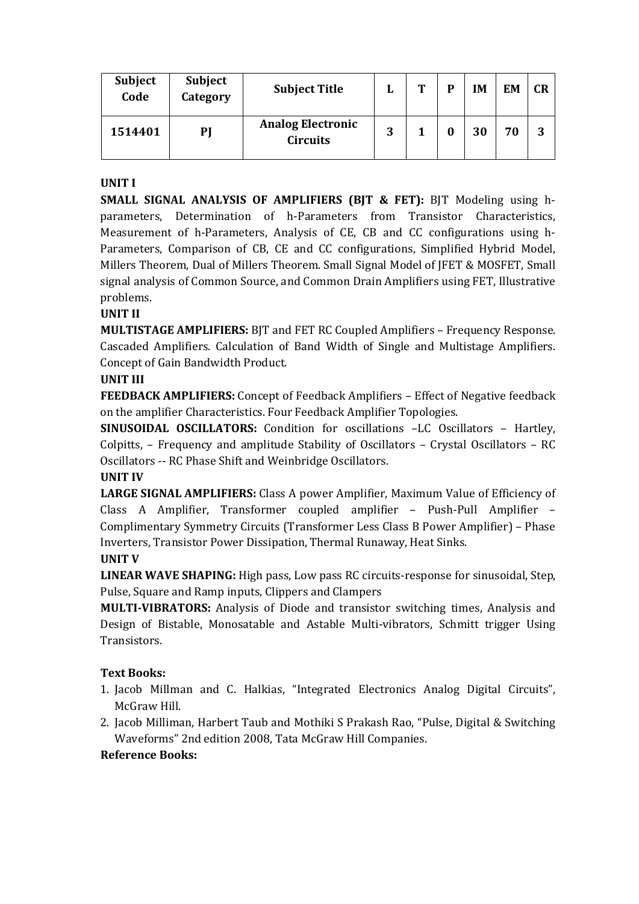| <b>Subject</b><br>Code | Subject<br>Category | <b>Subject Title</b>                        | ы | m | D | IM | EM | CR |
|------------------------|---------------------|---------------------------------------------|---|---|---|----|----|----|
| 1514401                | PJ                  | <b>Analog Electronic</b><br><b>Circuits</b> | 3 |   |   | 30 | 70 | 3  |

### **UNIT I**

**SMALL SIGNAL ANALYSIS OF AMPLIFIERS (BJT & FET):** BJT Modeling using hparameters, Determination of h-Parameters from Transistor Characteristics, Measurement of h-Parameters, Analysis of CE, CB and CC configurations using h-Parameters, Comparison of CB, CE and CC configurations, Simplified Hybrid Model, Millers Theorem, Dual of Millers Theorem. Small Signal Model of JFET & MOSFET, Small signal analysis of Common Source, and Common Drain Amplifiers using FET, Illustrative problems.

### **UNIT II**

**MULTISTAGE AMPLIFIERS:** BJT and FET RC Coupled Amplifiers – Frequency Response. Cascaded Amplifiers. Calculation of Band Width of Single and Multistage Amplifiers. Concept of Gain Bandwidth Product.

### **UNIT III**

**FEEDBACK AMPLIFIERS:** Concept of Feedback Amplifiers – Effect of Negative feedback on the amplifier Characteristics. Four Feedback Amplifier Topologies.

**SINUSOIDAL OSCILLATORS:** Condition for oscillations –LC Oscillators – Hartley, Colpitts, – Frequency and amplitude Stability of Oscillators – Crystal Oscillators – RC Oscillators -- RC Phase Shift and Weinbridge Oscillators.

### **UNIT IV**

**LARGE SIGNAL AMPLIFIERS:** Class A power Amplifier, Maximum Value of Efficiency of Class A Amplifier, Transformer coupled amplifier – Push-Pull Amplifier – Complimentary Symmetry Circuits (Transformer Less Class B Power Amplifier) – Phase Inverters, Transistor Power Dissipation, Thermal Runaway, Heat Sinks.

### **UNIT V**

**LINEAR WAVE SHAPING:** High pass, Low pass RC circuits-response for sinusoidal, Step, Pulse, Square and Ramp inputs, Clippers and Clampers

**MULTI-VIBRATORS:** Analysis of Diode and transistor switching times, Analysis and Design of Bistable, Monosatable and Astable Multi-vibrators, Schmitt trigger Using Transistors.

### **Text Books:**

- 1. Jacob Millman and C. Halkias, "Integrated Electronics Analog Digital Circuits", McGraw Hill.
- 2. Jacob Milliman, Harbert Taub and Mothiki S Prakash Rao, "Pulse, Digital & Switching Waveforms" 2nd edition 2008, Tata McGraw Hill Companies.

### **Reference Books:**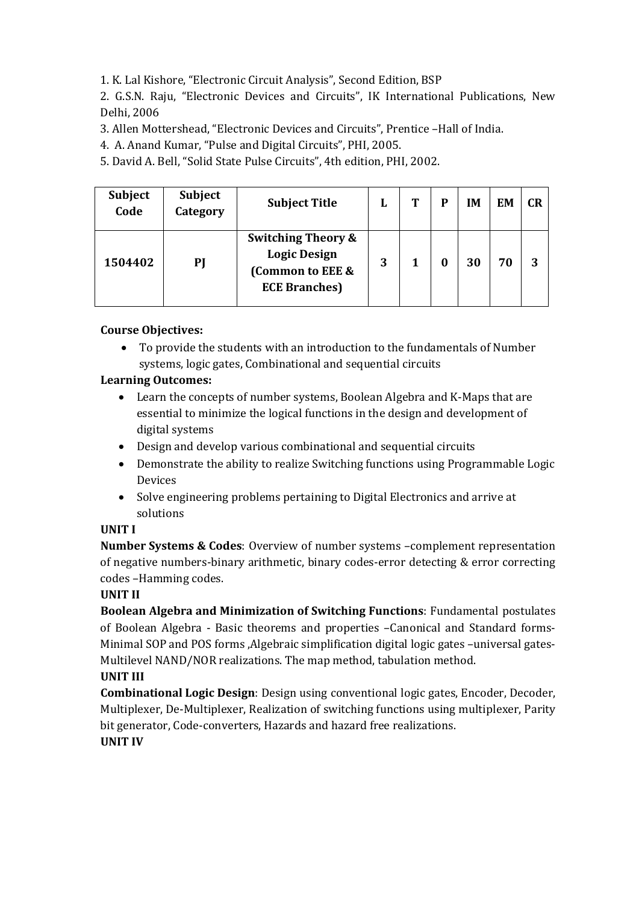1. K. Lal Kishore, "Electronic Circuit Analysis", Second Edition, BSP

2. G.S.N. Raju, "Electronic Devices and Circuits", IK International Publications, New Delhi, 2006

3. Allen Mottershead, "Electronic Devices and Circuits", Prentice –Hall of India.

4. A. Anand Kumar, "Pulse and Digital Circuits", PHI, 2005.

5. David A. Bell, "Solid State Pulse Circuits", 4th edition, PHI, 2002.

| <b>Subject</b><br>Code | <b>Subject</b><br>Category | <b>Subject Title</b>                                                                              | L | Т | P | IM | EM | CR |
|------------------------|----------------------------|---------------------------------------------------------------------------------------------------|---|---|---|----|----|----|
| 1504402                | PJ                         | <b>Switching Theory &amp;</b><br><b>Logic Design</b><br>(Common to EEE &<br><b>ECE Branches</b> ) | 3 |   |   | 30 | 70 | 3  |

## **Course Objectives:**

 To provide the students with an introduction to the fundamentals of Number systems, logic gates, Combinational and sequential circuits

## **Learning Outcomes:**

- Learn the concepts of number systems, Boolean Algebra and K-Maps that are essential to minimize the logical functions in the design and development of digital systems
- Design and develop various combinational and sequential circuits
- Demonstrate the ability to realize Switching functions using Programmable Logic Devices
- Solve engineering problems pertaining to Digital Electronics and arrive at solutions

## **UNIT I**

**Number Systems & Codes**: Overview of number systems –complement representation of negative numbers-binary arithmetic, binary codes-error detecting & error correcting codes –Hamming codes.

## **UNIT II**

**Boolean Algebra and Minimization of Switching Functions**: Fundamental postulates of Boolean Algebra - Basic theorems and properties –Canonical and Standard forms-Minimal SOP and POS forms , Algebraic simplification digital logic gates -universal gates-Multilevel NAND/NOR realizations. The map method, tabulation method.

## **UNIT III**

**Combinational Logic Design**: Design using conventional logic gates, Encoder, Decoder, Multiplexer, De-Multiplexer, Realization of switching functions using multiplexer, Parity bit generator, Code-converters, Hazards and hazard free realizations.

## **UNIT IV**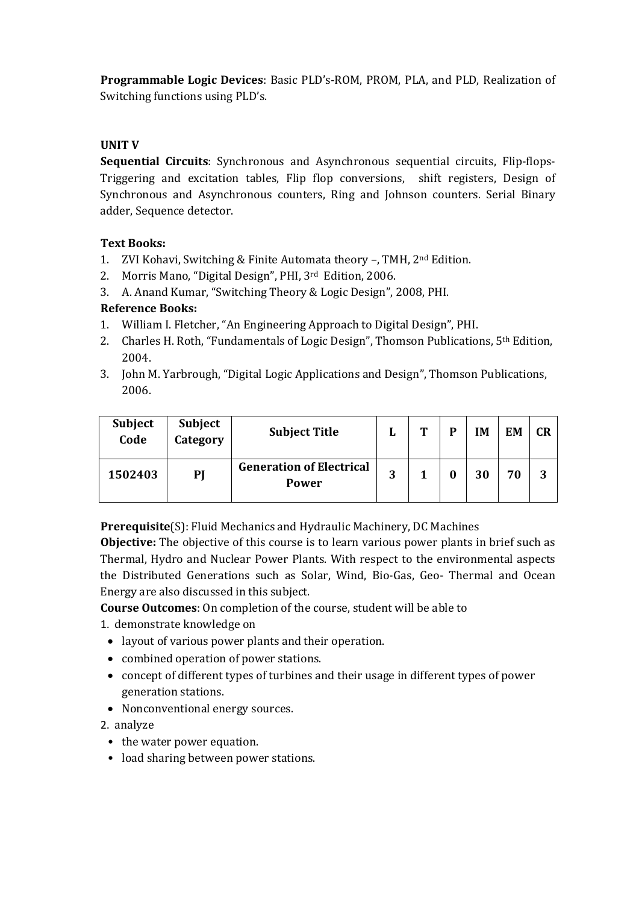**Programmable Logic Devices**: Basic PLD's-ROM, PROM, PLA, and PLD, Realization of Switching functions using PLD's.

### **UNIT V**

**Sequential Circuits**: Synchronous and Asynchronous sequential circuits, Flip-flops-Triggering and excitation tables, Flip flop conversions, shift registers, Design of Synchronous and Asynchronous counters, Ring and Johnson counters. Serial Binary adder, Sequence detector.

### **Text Books:**

- 1. ZVI Kohavi, Switching & Finite Automata theory –, TMH, 2nd Edition.
- 2. Morris Mano, "Digital Design", PHI, 3rd Edition, 2006.
- 3. A. Anand Kumar, "Switching Theory & Logic Design", 2008, PHI.

## **Reference Books:**

- 1. William I. Fletcher, "An Engineering Approach to Digital Design", PHI.
- 2. Charles H. Roth, "Fundamentals of Logic Design", Thomson Publications, 5<sup>th</sup> Edition, 2004.
- 3. John M. Yarbrough, "Digital Logic Applications and Design", Thomson Publications, 2006.

| <b>Subject</b><br>Code | <b>Subject</b><br>Category | <b>Subject Title</b>                            | ы | m | P | IM | EM | CR |
|------------------------|----------------------------|-------------------------------------------------|---|---|---|----|----|----|
| 1502403                | PJ                         | <b>Generation of Electrical</b><br><b>Power</b> | 3 |   | 0 | 30 | 70 | 3  |

**Prerequisite**(S): Fluid Mechanics and Hydraulic Machinery, DC Machines

**Objective:** The objective of this course is to learn various power plants in brief such as Thermal, Hydro and Nuclear Power Plants. With respect to the environmental aspects the Distributed Generations such as Solar, Wind, Bio-Gas, Geo- Thermal and Ocean Energy are also discussed in this subject.

**Course Outcomes**: On completion of the course, student will be able to

- 1. demonstrate knowledge on
	- layout of various power plants and their operation.
	- combined operation of power stations.
	- concept of different types of turbines and their usage in different types of power generation stations.
	- Nonconventional energy sources.

2. analyze

- the water power equation.
- load sharing between power stations.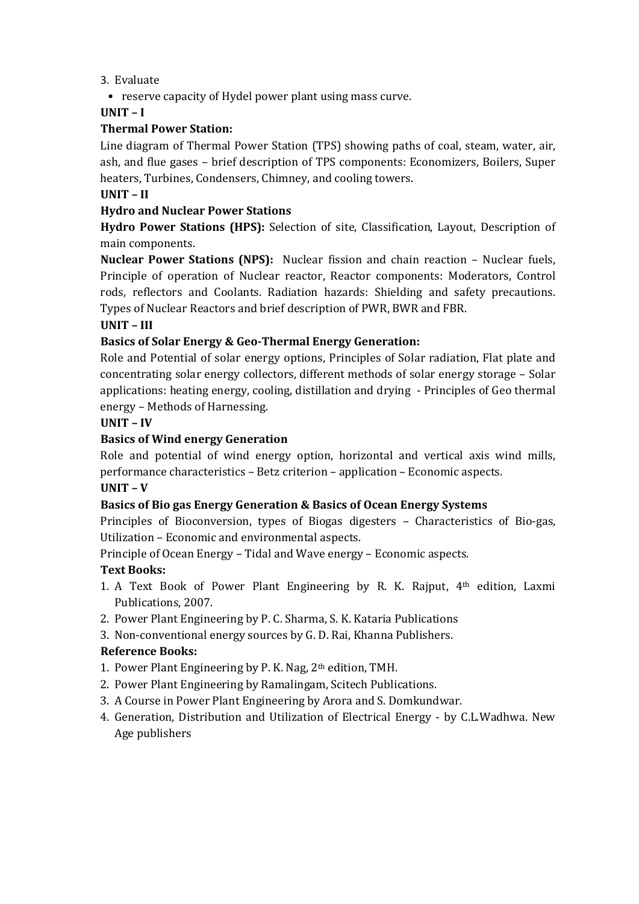- 3. Evaluate
	- reserve capacity of Hydel power plant using mass curve.

## **UNIT – I**

## **Thermal Power Station:**

Line diagram of Thermal Power Station (TPS) showing paths of coal, steam, water, air, ash, and flue gases – brief description of TPS components: Economizers, Boilers, Super heaters, Turbines, Condensers, Chimney, and cooling towers.

## **UNIT – II**

## **Hydro and Nuclear Power Stations**

**Hydro Power Stations (HPS):** Selection of site, Classification, Layout, Description of main components.

**Nuclear Power Stations (NPS):** Nuclear fission and chain reaction – Nuclear fuels, Principle of operation of Nuclear reactor, Reactor components: Moderators, Control rods, reflectors and Coolants. Radiation hazards: Shielding and safety precautions. Types of Nuclear Reactors and brief description of PWR, BWR and FBR.

## **UNIT – III**

## **Basics of Solar Energy & Geo-Thermal Energy Generation:**

Role and Potential of solar energy options, Principles of Solar radiation, Flat plate and concentrating solar energy collectors, different methods of solar energy storage – Solar applications: heating energy, cooling, distillation and drying - Principles of Geo thermal energy – Methods of Harnessing.

### **UNIT – IV**

## **Basics of Wind energy Generation**

Role and potential of wind energy option, horizontal and vertical axis wind mills, performance characteristics – Betz criterion – application – Economic aspects.

### **UNIT – V**

## **Basics of Bio gas Energy Generation & Basics of Ocean Energy Systems**

Principles of Bioconversion, types of Biogas digesters – Characteristics of Bio-gas, Utilization – Economic and environmental aspects.

Principle of Ocean Energy – Tidal and Wave energy – Economic aspects.

## **Text Books:**

- 1. A Text Book of Power Plant Engineering by R. K. Rajput, 4th edition, Laxmi Publications, 2007.
- 2. Power Plant Engineering by P. C. Sharma, S. K. Kataria Publications
- 3. Non-conventional energy sources by G. D. Rai, Khanna Publishers.

## **Reference Books:**

- 1. Power Plant Engineering by P. K. Nag, 2th edition, TMH.
- 2. Power Plant Engineering by Ramalingam, Scitech Publications.
- 3. A Course in Power Plant Engineering by Arora and S. Domkundwar.
- 4. Generation, Distribution and Utilization of Electrical Energy by C.L.Wadhwa. New Age publishers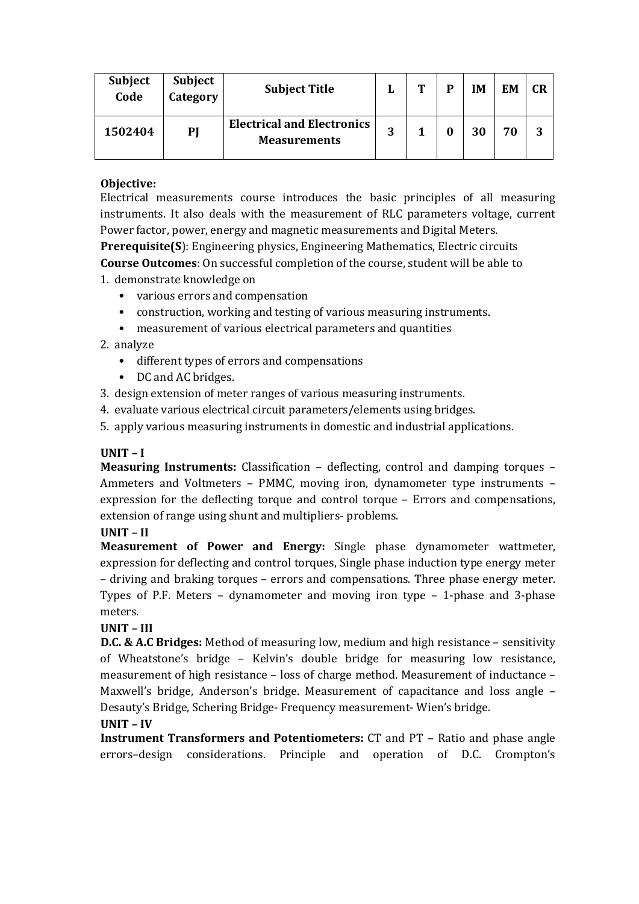| <b>Subject</b><br>Code | <b>Subject</b><br>Category | <b>Subject Title</b>                                     | u | m | D | IM | EM | <b>CR</b> |
|------------------------|----------------------------|----------------------------------------------------------|---|---|---|----|----|-----------|
| 1502404                | PJ                         | <b>Electrical and Electronics</b><br><b>Measurements</b> | 2 |   |   | 30 | 70 | 3         |

### **Objective:**

Electrical measurements course introduces the basic principles of all measuring instruments. It also deals with the measurement of RLC parameters voltage, current Power factor, power, energy and magnetic measurements and Digital Meters.

**Prerequisite(S**): Engineering physics, Engineering Mathematics, Electric circuits **Course Outcomes**: On successful completion of the course, student will be able to 1. demonstrate knowledge on

- various errors and compensation
- construction, working and testing of various measuring instruments.
- measurement of various electrical parameters and quantities

### 2. analyze

- different types of errors and compensations
- DC and AC bridges.
- 3. design extension of meter ranges of various measuring instruments.
- 4. evaluate various electrical circuit parameters/elements using bridges.
- 5. apply various measuring instruments in domestic and industrial applications.

### **UNIT – I**

**Measuring Instruments:** Classification – deflecting, control and damping torques – Ammeters and Voltmeters – PMMC, moving iron, dynamometer type instruments – expression for the deflecting torque and control torque – Errors and compensations, extension of range using shunt and multipliers- problems.

### **UNIT – II**

**Measurement of Power and Energy:** Single phase dynamometer wattmeter, expression for deflecting and control torques, Single phase induction type energy meter – driving and braking torques – errors and compensations. Three phase energy meter. Types of P.F. Meters – dynamometer and moving iron type – 1-phase and 3-phase meters.

### **UNIT – III**

**D.C. & A.C Bridges:** Method of measuring low, medium and high resistance – sensitivity of Wheatstone's bridge – Kelvin's double bridge for measuring low resistance, measurement of high resistance – loss of charge method. Measurement of inductance – Maxwell's bridge, Anderson's bridge. Measurement of capacitance and loss angle – Desauty's Bridge, Schering Bridge- Frequency measurement- Wien's bridge.

### **UNIT – IV**

**Instrument Transformers and Potentiometers:** CT and PT – Ratio and phase angle errors–design considerations. Principle and operation of D.C. Crompton's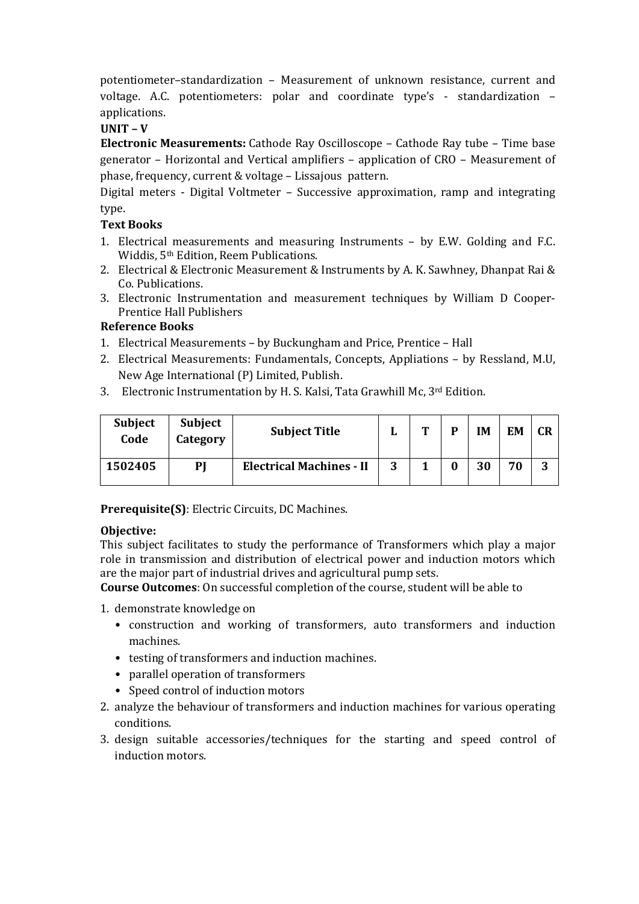potentiometer–standardization – Measurement of unknown resistance, current and voltage. A.C. potentiometers: polar and coordinate type's - standardization – applications.

## **UNIT – V**

**Electronic Measurements:** Cathode Ray Oscilloscope – Cathode Ray tube – Time base generator – Horizontal and Vertical amplifiers – application of CRO – Measurement of phase, frequency, current & voltage – Lissajous pattern.

Digital meters - Digital Voltmeter – Successive approximation, ramp and integrating type.

### **Text Books**

- 1. Electrical measurements and measuring Instruments by E.W. Golding and F.C. Widdis, 5th Edition, Reem Publications.
- 2. Electrical & Electronic Measurement & Instruments by A. K. Sawhney, Dhanpat Rai & Co. Publications.
- 3. Electronic Instrumentation and measurement techniques by William D Cooper-Prentice Hall Publishers

### **Reference Books**

- 1. Electrical Measurements by Buckungham and Price, Prentice Hall
- 2. Electrical Measurements: Fundamentals, Concepts, Appliations by Ressland, M.U, New Age International (P) Limited, Publish.
- 3. Electronic Instrumentation by H. S. Kalsi, Tata Grawhill Mc, 3rd Edition.

| <b>Subject</b><br>Code | <b>Subject</b><br>Category | <b>Subject Title</b>            |   | m | D | IM | EM | <b>CR</b> |
|------------------------|----------------------------|---------------------------------|---|---|---|----|----|-----------|
| 1502405                | PI                         | <b>Electrical Machines - II</b> | 3 |   | 0 | 30 | 70 | ີ<br>Ĵ    |

**Prerequisite(S)**: Electric Circuits, DC Machines.

### **Objective:**

This subject facilitates to study the performance of Transformers which play a major role in transmission and distribution of electrical power and induction motors which are the major part of industrial drives and agricultural pump sets.

**Course Outcomes**: On successful completion of the course, student will be able to

1. demonstrate knowledge on

- construction and working of transformers, auto transformers and induction machines.
- testing of transformers and induction machines.
- parallel operation of transformers
- Speed control of induction motors
- 2. analyze the behaviour of transformers and induction machines for various operating conditions.
- 3. design suitable accessories/techniques for the starting and speed control of induction motors.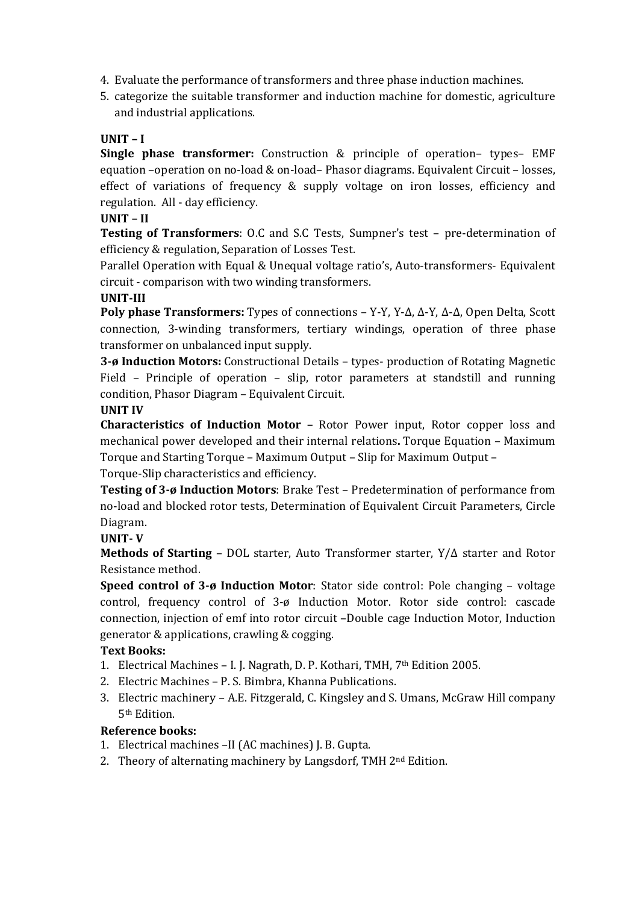- 4. Evaluate the performance of transformers and three phase induction machines.
- 5. categorize the suitable transformer and induction machine for domestic, agriculture and industrial applications.

## **UNIT – I**

**Single phase transformer:** Construction & principle of operation– types– EMF equation –operation on no-load & on-load– Phasor diagrams. Equivalent Circuit – losses, effect of variations of frequency & supply voltage on iron losses, efficiency and regulation. All - day efficiency.

### **UNIT – II**

**Testing of Transformers**: O.C and S.C Tests, Sumpner's test – pre-determination of efficiency & regulation, Separation of Losses Test.

Parallel Operation with Equal & Unequal voltage ratio's, Auto-transformers- Equivalent circuit - comparison with two winding transformers.

### **UNIT-III**

**Poly phase Transformers:** Types of connections – Y-Y, Y-Δ, Δ-Y, Δ-Δ, Open Delta, Scott connection, 3-winding transformers, tertiary windings, operation of three phase transformer on unbalanced input supply.

**3-ø Induction Motors:** Constructional Details – types- production of Rotating Magnetic Field – Principle of operation – slip, rotor parameters at standstill and running condition, Phasor Diagram – Equivalent Circuit.

### **UNIT IV**

**Characteristics of Induction Motor –** Rotor Power input, Rotor copper loss and mechanical power developed and their internal relations**.** Torque Equation – Maximum Torque and Starting Torque – Maximum Output – Slip for Maximum Output –

Torque-Slip characteristics and efficiency.

**Testing of 3-ø Induction Motors**: Brake Test – Predetermination of performance from no-load and blocked rotor tests, Determination of Equivalent Circuit Parameters, Circle Diagram.

### **UNIT- V**

**Methods of Starting** – DOL starter, Auto Transformer starter, Y/Δ starter and Rotor Resistance method.

**Speed control of 3-ø Induction Motor**: Stator side control: Pole changing – voltage control, frequency control of 3-ø Induction Motor. Rotor side control: cascade connection, injection of emf into rotor circuit –Double cage Induction Motor, Induction generator & applications, crawling & cogging.

### **Text Books:**

- 1. Electrical Machines I. J. Nagrath, D. P. Kothari, TMH, 7th Edition 2005.
- 2. Electric Machines P. S. Bimbra, Khanna Publications.
- 3. Electric machinery A.E. Fitzgerald, C. Kingsley and S. Umans, McGraw Hill company 5th Edition.

### **Reference books:**

- 1. Electrical machines –II (AC machines) J. B. Gupta.
- 2. Theory of alternating machinery by Langsdorf, TMH 2nd Edition.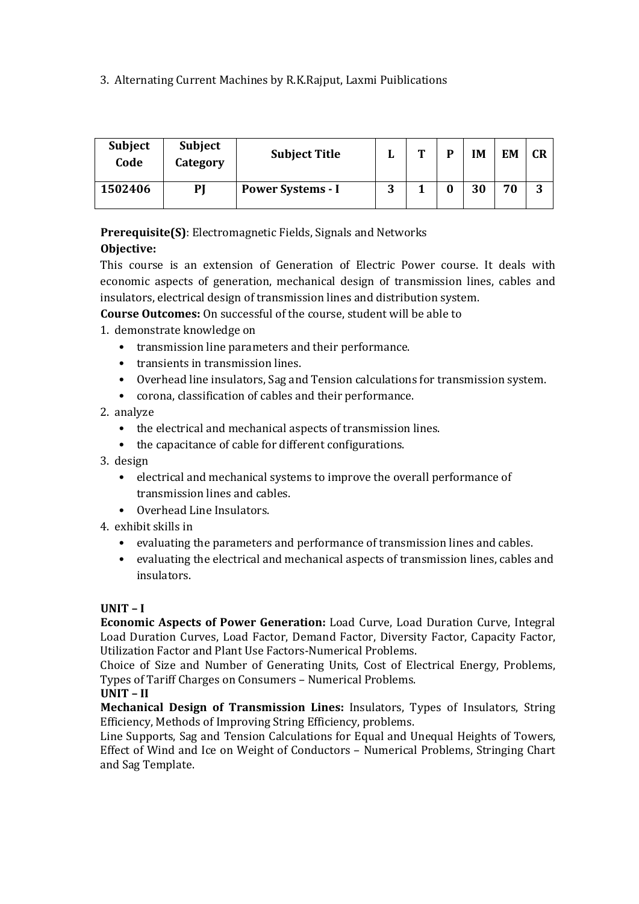## 3. Alternating Current Machines by R.K.Rajput, Laxmi Puiblications

| <b>Subject</b><br>Code | <b>Subject</b><br>Category | <b>Subject Title</b>     | u      | m | IM | EM | <b>CR</b> |
|------------------------|----------------------------|--------------------------|--------|---|----|----|-----------|
| 1502406                | PI                         | <b>Power Systems - I</b> | ∩<br>ີ |   | 30 | 70 | ົ<br>J    |

**Prerequisite(S)**: Electromagnetic Fields, Signals and Networks

## **Objective:**

This course is an extension of Generation of Electric Power course. It deals with economic aspects of generation, mechanical design of transmission lines, cables and insulators, electrical design of transmission lines and distribution system.

**Course Outcomes:** On successful of the course, student will be able to

1. demonstrate knowledge on

- transmission line parameters and their performance.
- transients in transmission lines.
- Overhead line insulators, Sag and Tension calculations for transmission system.
- corona, classification of cables and their performance.

2. analyze

- the electrical and mechanical aspects of transmission lines.
- the capacitance of cable for different configurations.
- 3. design
	- electrical and mechanical systems to improve the overall performance of transmission lines and cables.
	- Overhead Line Insulators.

### 4. exhibit skills in

- evaluating the parameters and performance of transmission lines and cables.
- evaluating the electrical and mechanical aspects of transmission lines, cables and insulators.

### **UNIT – I**

**Economic Aspects of Power Generation:** Load Curve, Load Duration Curve, Integral Load Duration Curves, Load Factor, Demand Factor, Diversity Factor, Capacity Factor, Utilization Factor and Plant Use Factors-Numerical Problems.

Choice of Size and Number of Generating Units, Cost of Electrical Energy, Problems, Types of Tariff Charges on Consumers – Numerical Problems.

### **UNIT – II**

**Mechanical Design of Transmission Lines:** Insulators, Types of Insulators, String Efficiency, Methods of Improving String Efficiency, problems.

Line Supports, Sag and Tension Calculations for Equal and Unequal Heights of Towers, Effect of Wind and Ice on Weight of Conductors – Numerical Problems, Stringing Chart and Sag Template.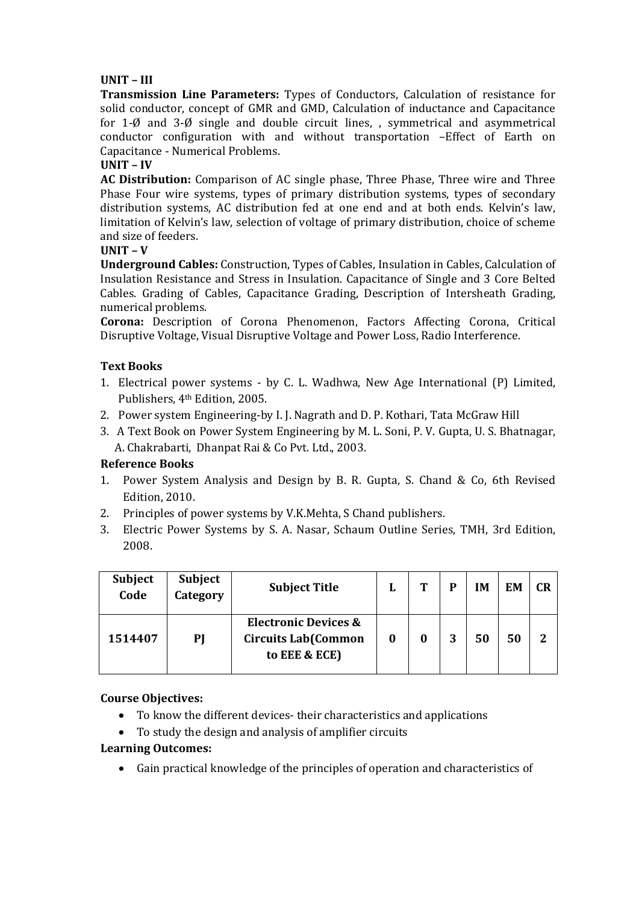### **UNIT – III**

**Transmission Line Parameters:** Types of Conductors, Calculation of resistance for solid conductor, concept of GMR and GMD, Calculation of inductance and Capacitance for 1- $\emptyset$  and 3- $\emptyset$  single and double circuit lines, , symmetrical and asymmetrical conductor configuration with and without transportation –Effect of Earth on Capacitance - Numerical Problems.

### **UNIT – IV**

**AC Distribution:** Comparison of AC single phase, Three Phase, Three wire and Three Phase Four wire systems, types of primary distribution systems, types of secondary distribution systems, AC distribution fed at one end and at both ends. Kelvin's law, limitation of Kelvin's law, selection of voltage of primary distribution, choice of scheme and size of feeders.

### **UNIT – V**

**Underground Cables:** Construction, Types of Cables, Insulation in Cables, Calculation of Insulation Resistance and Stress in Insulation. Capacitance of Single and 3 Core Belted Cables. Grading of Cables, Capacitance Grading, Description of Intersheath Grading, numerical problems.

**Corona:** Description of Corona Phenomenon, Factors Affecting Corona, Critical Disruptive Voltage, Visual Disruptive Voltage and Power Loss, Radio Interference.

### **Text Books**

- 1. Electrical power systems by C. L. Wadhwa, New Age International (P) Limited, Publishers, 4th Edition, 2005.
- 2. Power system Engineering-by I. J. Nagrath and D. P. Kothari, Tata McGraw Hill
- 3. A Text Book on Power System Engineering by M. L. Soni, P. V. Gupta, U. S. Bhatnagar, A. Chakrabarti, Dhanpat Rai & Co Pvt. Ltd., 2003.

### **Reference Books**

- 1. Power System Analysis and Design by B. R. Gupta, S. Chand & Co, 6th Revised Edition, 2010.
- 2. Principles of power systems by V.K.Mehta, S Chand publishers.
- 3. Electric Power Systems by S. A. Nasar, Schaum Outline Series, TMH, 3rd Edition, 2008.

| Subject<br>Code | <b>Subject</b><br>Category | <b>Subject Title</b>                                                           | L        | m | D | IМ | EM | <b>CR</b> |
|-----------------|----------------------------|--------------------------------------------------------------------------------|----------|---|---|----|----|-----------|
| 1514407         | PI                         | <b>Electronic Devices &amp;</b><br><b>Circuits Lab(Common</b><br>to EEE & ECE) | $\bf{0}$ |   | 3 | 50 | 50 | 2         |

### **Course Objectives:**

- To know the different devices- their characteristics and applications
- To study the design and analysis of amplifier circuits

### **Learning Outcomes:**

Gain practical knowledge of the principles of operation and characteristics of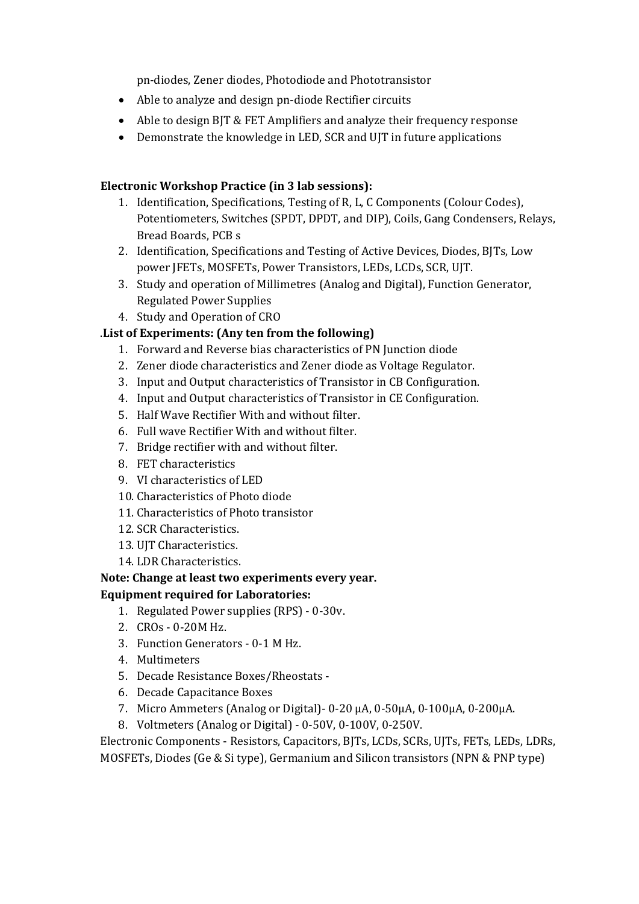pn-diodes, Zener diodes, Photodiode and Phototransistor

- Able to analyze and design pn-diode Rectifier circuits
- Able to design BJT & FET Amplifiers and analyze their frequency response
- Demonstrate the knowledge in LED, SCR and UJT in future applications

### **Electronic Workshop Practice (in 3 lab sessions):**

- 1. Identification, Specifications, Testing of R, L, C Components (Colour Codes), Potentiometers, Switches (SPDT, DPDT, and DIP), Coils, Gang Condensers, Relays, Bread Boards, PCB s
- 2. Identification, Specifications and Testing of Active Devices, Diodes, BJTs, Low power JFETs, MOSFETs, Power Transistors, LEDs, LCDs, SCR, UJT.
- 3. Study and operation of Millimetres (Analog and Digital), Function Generator, Regulated Power Supplies
- 4. Study and Operation of CRO

## .**List of Experiments: (Any ten from the following)**

- 1. Forward and Reverse bias characteristics of PN Junction diode
- 2. Zener diode characteristics and Zener diode as Voltage Regulator.
- 3. Input and Output characteristics of Transistor in CB Configuration.
- 4. Input and Output characteristics of Transistor in CE Configuration.
- 5. Half Wave Rectifier With and without filter.
- 6. Full wave Rectifier With and without filter.
- 7. Bridge rectifier with and without filter.
- 8. FET characteristics
- 9. VI characteristics of LED
- 10. Characteristics of Photo diode
- 11. Characteristics of Photo transistor
- 12. SCR Characteristics.
- 13. UJT Characteristics.
- 14. LDR Characteristics.

## **Note: Change at least two experiments every year.**

### **Equipment required for Laboratories:**

- 1. Regulated Power supplies (RPS) 0-30v.
- 2. CROs 0-20M Hz.
- 3. Function Generators 0-1 M Hz.
- 4. Multimeters
- 5. Decade Resistance Boxes/Rheostats -
- 6. Decade Capacitance Boxes
- 7. Micro Ammeters (Analog or Digital)- 0-20 μA, 0-50μA, 0-100μA, 0-200μA.
- 8. Voltmeters (Analog or Digital) 0-50V, 0-100V, 0-250V.

Electronic Components - Resistors, Capacitors, BJTs, LCDs, SCRs, UJTs, FETs, LEDs, LDRs, MOSFETs, Diodes (Ge & Si type), Germanium and Silicon transistors (NPN & PNP type)